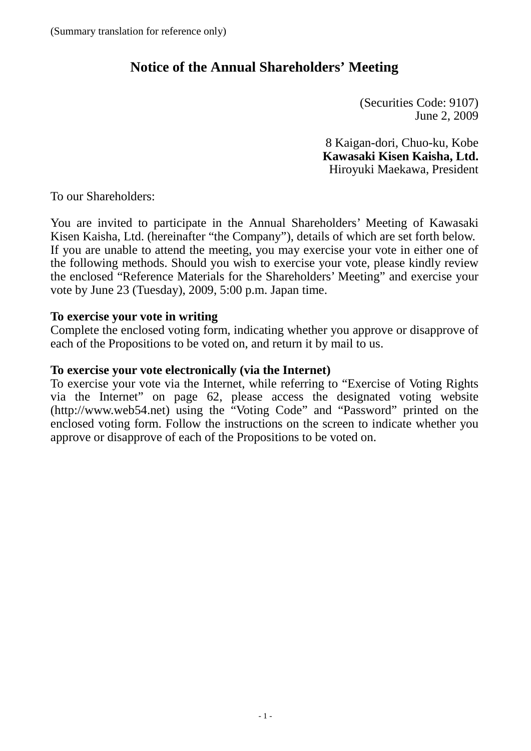# **Notice of the Annual Shareholders' Meeting**

(Securities Code: 9107) June 2, 2009

8 Kaigan-dori, Chuo-ku, Kobe **Kawasaki Kisen Kaisha, Ltd.** Hiroyuki Maekawa, President

To our Shareholders:

You are invited to participate in the Annual Shareholders' Meeting of Kawasaki Kisen Kaisha, Ltd. (hereinafter "the Company"), details of which are set forth below. If you are unable to attend the meeting, you may exercise your vote in either one of the following methods. Should you wish to exercise your vote, please kindly review the enclosed "Reference Materials for the Shareholders' Meeting" and exercise your vote by June 23 (Tuesday), 2009, 5:00 p.m. Japan time.

## **To exercise your vote in writing**

Complete the enclosed voting form, indicating whether you approve or disapprove of each of the Propositions to be voted on, and return it by mail to us.

## **To exercise your vote electronically (via the Internet)**

To exercise your vote via the Internet, while referring to "Exercise of Voting Rights via the Internet" on page 62, please access the designated voting website (http://www.web54.net) using the "Voting Code" and "Password" printed on the enclosed voting form. Follow the instructions on the screen to indicate whether you approve or disapprove of each of the Propositions to be voted on.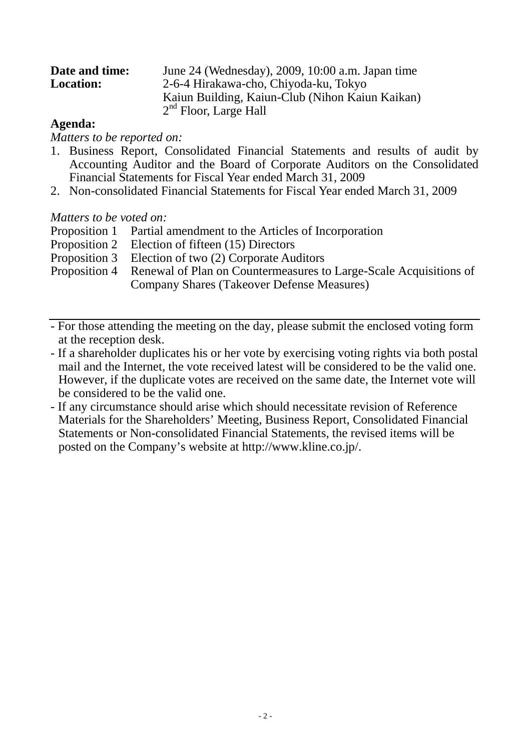| Date and time:   | June 24 (Wednesday), 2009, 10:00 a.m. Japan time |
|------------------|--------------------------------------------------|
| <b>Location:</b> | 2-6-4 Hirakawa-cho, Chiyoda-ku, Tokyo            |
|                  | Kaiun Building, Kaiun-Club (Nihon Kaiun Kaikan)  |
|                  | $2nd$ Floor, Large Hall                          |

## **Agenda:**

*Matters to be reported on:*

- 1. Business Report, Consolidated Financial Statements and results of audit by Accounting Auditor and the Board of Corporate Auditors on the Consolidated Financial Statements for Fiscal Year ended March 31, 2009
- 2. Non-consolidated Financial Statements for Fiscal Year ended March 31, 2009

## *Matters to be voted on:*

- Proposition 1 Partial amendment to the Articles of Incorporation
- Proposition 2 Election of fifteen (15) Directors
- Proposition 3 Election of two (2) Corporate Auditors
- Proposition 4 Renewal of Plan on Countermeasures to Large-Scale Acquisitions of Company Shares (Takeover Defense Measures)
- For those attending the meeting on the day, please submit the enclosed voting form at the reception desk.
- If a shareholder duplicates his or her vote by exercising voting rights via both postal mail and the Internet, the vote received latest will be considered to be the valid one. However, if the duplicate votes are received on the same date, the Internet vote will be considered to be the valid one.
- If any circumstance should arise which should necessitate revision of Reference Materials for the Shareholders' Meeting, Business Report, Consolidated Financial Statements or Non-consolidated Financial Statements, the revised items will be posted on the Company's website at http://www.kline.co.jp/.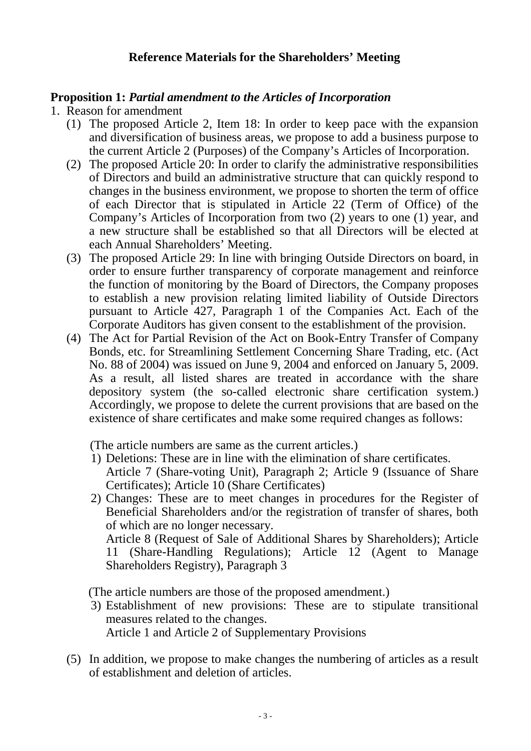# **Reference Materials for the Shareholders' Meeting**

# **Proposition 1:** *Partial amendment to the Articles of Incorporation*

- 1. Reason for amendment
	- (1) The proposed Article 2, Item 18: In order to keep pace with the expansion and diversification of business areas, we propose to add a business purpose to the current Article 2 (Purposes) of the Company's Articles of Incorporation.
	- (2) The proposed Article 20: In order to clarify the administrative responsibilities of Directors and build an administrative structure that can quickly respond to changes in the business environment, we propose to shorten the term of office of each Director that is stipulated in Article 22 (Term of Office) of the Company's Articles of Incorporation from two (2) years to one (1) year, and a new structure shall be established so that all Directors will be elected at each Annual Shareholders' Meeting.
	- (3) The proposed Article 29: In line with bringing Outside Directors on board, in order to ensure further transparency of corporate management and reinforce the function of monitoring by the Board of Directors, the Company proposes to establish a new provision relating limited liability of Outside Directors pursuant to Article 427, Paragraph 1 of the Companies Act. Each of the Corporate Auditors has given consent to the establishment of the provision.
	- (4) The Act for Partial Revision of the Act on Book-Entry Transfer of Company Bonds, etc. for Streamlining Settlement Concerning Share Trading, etc. (Act No. 88 of 2004) was issued on June 9, 2004 and enforced on January 5, 2009. As a result, all listed shares are treated in accordance with the share depository system (the so-called electronic share certification system.) Accordingly, we propose to delete the current provisions that are based on the existence of share certificates and make some required changes as follows:

(The article numbers are same as the current articles.)

- 1) Deletions: These are in line with the elimination of share certificates. Article 7 (Share-voting Unit), Paragraph 2; Article 9 (Issuance of Share Certificates); Article 10 (Share Certificates)
- 2) Changes: These are to meet changes in procedures for the Register of Beneficial Shareholders and/or the registration of transfer of shares, both of which are no longer necessary. Article 8 (Request of Sale of Additional Shares by Shareholders); Article

11 (Share-Handling Regulations); Article 12 (Agent to Manage Shareholders Registry), Paragraph 3

(The article numbers are those of the proposed amendment.)

- 3) Establishment of new provisions: These are to stipulate transitional measures related to the changes. Article 1 and Article 2 of Supplementary Provisions
- (5) In addition, we propose to make changes the numbering of articles as a result of establishment and deletion of articles.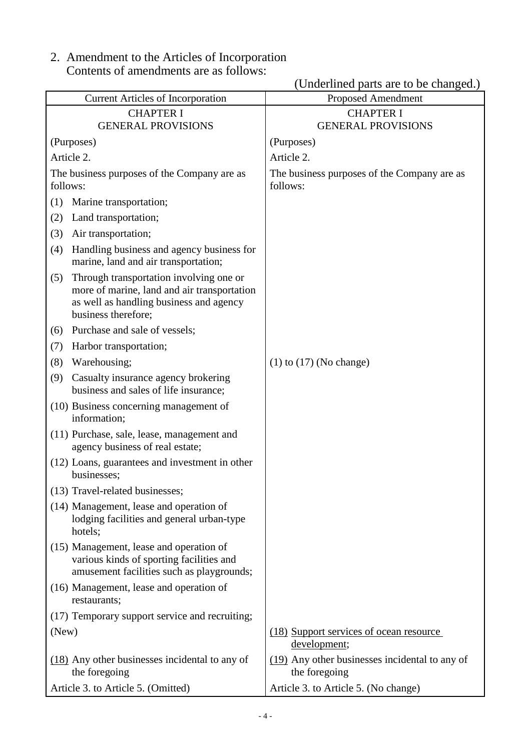2. Amendment to the Articles of Incorporation Contents of amendments are as follows:

|                                                                                                                                                                 | (Underlined parts are to be changed.)                           |
|-----------------------------------------------------------------------------------------------------------------------------------------------------------------|-----------------------------------------------------------------|
| <b>Current Articles of Incorporation</b>                                                                                                                        | <b>Proposed Amendment</b>                                       |
| <b>CHAPTER I</b>                                                                                                                                                | <b>CHAPTER I</b>                                                |
| <b>GENERAL PROVISIONS</b>                                                                                                                                       | <b>GENERAL PROVISIONS</b>                                       |
| (Purposes)                                                                                                                                                      | (Purposes)                                                      |
| Article 2.                                                                                                                                                      | Article 2.                                                      |
| The business purposes of the Company are as<br>follows:                                                                                                         | The business purposes of the Company are as<br>follows:         |
| Marine transportation;<br>(1)                                                                                                                                   |                                                                 |
| Land transportation;<br>(2)                                                                                                                                     |                                                                 |
| (3)<br>Air transportation;                                                                                                                                      |                                                                 |
| Handling business and agency business for<br>(4)<br>marine, land and air transportation;                                                                        |                                                                 |
| Through transportation involving one or<br>(5)<br>more of marine, land and air transportation<br>as well as handling business and agency<br>business therefore; |                                                                 |
| Purchase and sale of vessels;<br>(6)                                                                                                                            |                                                                 |
| Harbor transportation;<br>(7)                                                                                                                                   |                                                                 |
| Warehousing;<br>(8)                                                                                                                                             | $(1)$ to $(17)$ (No change)                                     |
| (9)<br>Casualty insurance agency brokering<br>business and sales of life insurance;                                                                             |                                                                 |
| (10) Business concerning management of<br>information;                                                                                                          |                                                                 |
| (11) Purchase, sale, lease, management and<br>agency business of real estate;                                                                                   |                                                                 |
| (12) Loans, guarantees and investment in other<br>businesses;                                                                                                   |                                                                 |
| (13) Travel-related businesses;                                                                                                                                 |                                                                 |
| (14) Management, lease and operation of<br>lodging facilities and general urban-type<br>hotels;                                                                 |                                                                 |
| (15) Management, lease and operation of<br>various kinds of sporting facilities and<br>amusement facilities such as playgrounds;                                |                                                                 |
| (16) Management, lease and operation of<br>restaurants;                                                                                                         |                                                                 |
| (17) Temporary support service and recruiting;                                                                                                                  |                                                                 |
| (New)                                                                                                                                                           | (18) Support services of ocean resource<br>development;         |
| $(18)$ Any other businesses incidental to any of<br>the foregoing                                                                                               | (19) Any other businesses incidental to any of<br>the foregoing |
| Article 3. to Article 5. (Omitted)                                                                                                                              | Article 3. to Article 5. (No change)                            |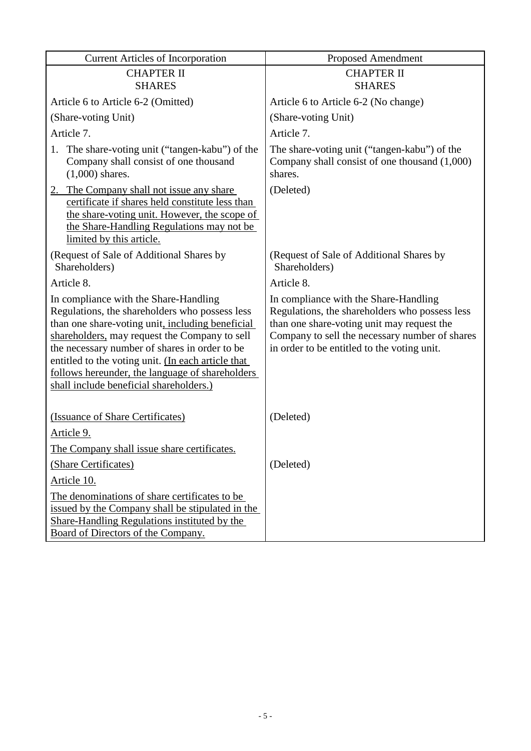| <b>Current Articles of Incorporation</b>                                                                                                                                                                                                                                                                                                                                                          | <b>Proposed Amendment</b>                                                                                                                                                                                                              |
|---------------------------------------------------------------------------------------------------------------------------------------------------------------------------------------------------------------------------------------------------------------------------------------------------------------------------------------------------------------------------------------------------|----------------------------------------------------------------------------------------------------------------------------------------------------------------------------------------------------------------------------------------|
| <b>CHAPTER II</b>                                                                                                                                                                                                                                                                                                                                                                                 | <b>CHAPTER II</b>                                                                                                                                                                                                                      |
| <b>SHARES</b>                                                                                                                                                                                                                                                                                                                                                                                     | <b>SHARES</b>                                                                                                                                                                                                                          |
| Article 6 to Article 6-2 (Omitted)                                                                                                                                                                                                                                                                                                                                                                | Article 6 to Article 6-2 (No change)                                                                                                                                                                                                   |
| (Share-voting Unit)                                                                                                                                                                                                                                                                                                                                                                               | (Share-voting Unit)                                                                                                                                                                                                                    |
| Article 7.                                                                                                                                                                                                                                                                                                                                                                                        | Article 7.                                                                                                                                                                                                                             |
| 1. The share-voting unit ("tangen-kabu") of the<br>Company shall consist of one thousand<br>$(1,000)$ shares.                                                                                                                                                                                                                                                                                     | The share-voting unit ("tangen-kabu") of the<br>Company shall consist of one thousand $(1,000)$<br>shares.                                                                                                                             |
| 2. The Company shall not issue any share<br>certificate if shares held constitute less than<br>the share-voting unit. However, the scope of<br>the Share-Handling Regulations may not be<br>limited by this article.                                                                                                                                                                              | (Deleted)                                                                                                                                                                                                                              |
| (Request of Sale of Additional Shares by<br>Shareholders)                                                                                                                                                                                                                                                                                                                                         | (Request of Sale of Additional Shares by<br>Shareholders)                                                                                                                                                                              |
| Article 8.                                                                                                                                                                                                                                                                                                                                                                                        | Article 8.                                                                                                                                                                                                                             |
| In compliance with the Share-Handling<br>Regulations, the shareholders who possess less<br>than one share-voting unit, including beneficial<br>shareholders, may request the Company to sell<br>the necessary number of shares in order to be<br>entitled to the voting unit. (In each article that<br>follows hereunder, the language of shareholders<br>shall include beneficial shareholders.) | In compliance with the Share-Handling<br>Regulations, the shareholders who possess less<br>than one share-voting unit may request the<br>Company to sell the necessary number of shares<br>in order to be entitled to the voting unit. |
| (Issuance of Share Certificates)                                                                                                                                                                                                                                                                                                                                                                  | (Deleted)                                                                                                                                                                                                                              |
| Article 9.                                                                                                                                                                                                                                                                                                                                                                                        |                                                                                                                                                                                                                                        |
| The Company shall issue share certificates.                                                                                                                                                                                                                                                                                                                                                       |                                                                                                                                                                                                                                        |
| (Share Certificates)                                                                                                                                                                                                                                                                                                                                                                              | (Deleted)                                                                                                                                                                                                                              |
| Article 10.                                                                                                                                                                                                                                                                                                                                                                                       |                                                                                                                                                                                                                                        |
| The denominations of share certificates to be<br>issued by the Company shall be stipulated in the<br>Share-Handling Regulations instituted by the<br>Board of Directors of the Company.                                                                                                                                                                                                           |                                                                                                                                                                                                                                        |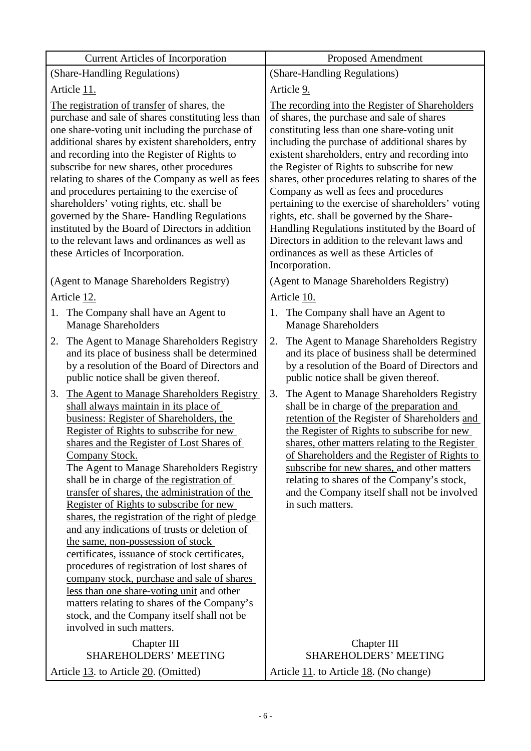| <b>Current Articles of Incorporation</b>                                                                                                                                                                                                                                                                                                                                                                                                                                                                                                                                                                                                                                                                                                                                                                                                                                                          | <b>Proposed Amendment</b>                                                                                                                                                                                                                                                                                                                                                                                                                                                                                                                                                                                                                                                 |  |  |
|---------------------------------------------------------------------------------------------------------------------------------------------------------------------------------------------------------------------------------------------------------------------------------------------------------------------------------------------------------------------------------------------------------------------------------------------------------------------------------------------------------------------------------------------------------------------------------------------------------------------------------------------------------------------------------------------------------------------------------------------------------------------------------------------------------------------------------------------------------------------------------------------------|---------------------------------------------------------------------------------------------------------------------------------------------------------------------------------------------------------------------------------------------------------------------------------------------------------------------------------------------------------------------------------------------------------------------------------------------------------------------------------------------------------------------------------------------------------------------------------------------------------------------------------------------------------------------------|--|--|
| (Share-Handling Regulations)                                                                                                                                                                                                                                                                                                                                                                                                                                                                                                                                                                                                                                                                                                                                                                                                                                                                      | (Share-Handling Regulations)                                                                                                                                                                                                                                                                                                                                                                                                                                                                                                                                                                                                                                              |  |  |
| Article 11.                                                                                                                                                                                                                                                                                                                                                                                                                                                                                                                                                                                                                                                                                                                                                                                                                                                                                       | Article 9.                                                                                                                                                                                                                                                                                                                                                                                                                                                                                                                                                                                                                                                                |  |  |
| The registration of transfer of shares, the<br>purchase and sale of shares constituting less than<br>one share-voting unit including the purchase of<br>additional shares by existent shareholders, entry<br>and recording into the Register of Rights to<br>subscribe for new shares, other procedures<br>relating to shares of the Company as well as fees<br>and procedures pertaining to the exercise of<br>shareholders' voting rights, etc. shall be<br>governed by the Share-Handling Regulations<br>instituted by the Board of Directors in addition<br>to the relevant laws and ordinances as well as<br>these Articles of Incorporation.                                                                                                                                                                                                                                                | The recording into the Register of Shareholders<br>of shares, the purchase and sale of shares<br>constituting less than one share-voting unit<br>including the purchase of additional shares by<br>existent shareholders, entry and recording into<br>the Register of Rights to subscribe for new<br>shares, other procedures relating to shares of the<br>Company as well as fees and procedures<br>pertaining to the exercise of shareholders' voting<br>rights, etc. shall be governed by the Share-<br>Handling Regulations instituted by the Board of<br>Directors in addition to the relevant laws and<br>ordinances as well as these Articles of<br>Incorporation. |  |  |
| (Agent to Manage Shareholders Registry)                                                                                                                                                                                                                                                                                                                                                                                                                                                                                                                                                                                                                                                                                                                                                                                                                                                           | (Agent to Manage Shareholders Registry)                                                                                                                                                                                                                                                                                                                                                                                                                                                                                                                                                                                                                                   |  |  |
| Article 12.                                                                                                                                                                                                                                                                                                                                                                                                                                                                                                                                                                                                                                                                                                                                                                                                                                                                                       | Article 10.                                                                                                                                                                                                                                                                                                                                                                                                                                                                                                                                                                                                                                                               |  |  |
| The Company shall have an Agent to<br>1.<br><b>Manage Shareholders</b>                                                                                                                                                                                                                                                                                                                                                                                                                                                                                                                                                                                                                                                                                                                                                                                                                            | The Company shall have an Agent to<br>1.<br><b>Manage Shareholders</b>                                                                                                                                                                                                                                                                                                                                                                                                                                                                                                                                                                                                    |  |  |
| The Agent to Manage Shareholders Registry<br>2.<br>and its place of business shall be determined<br>by a resolution of the Board of Directors and<br>public notice shall be given thereof.                                                                                                                                                                                                                                                                                                                                                                                                                                                                                                                                                                                                                                                                                                        | The Agent to Manage Shareholders Registry<br>2.<br>and its place of business shall be determined<br>by a resolution of the Board of Directors and<br>public notice shall be given thereof.                                                                                                                                                                                                                                                                                                                                                                                                                                                                                |  |  |
| The Agent to Manage Shareholders Registry<br>3.<br>shall always maintain in its place of<br>business: Register of Shareholders, the<br>Register of Rights to subscribe for new<br>shares and the Register of Lost Shares of<br>Company Stock.<br>The Agent to Manage Shareholders Registry<br>shall be in charge of the registration of<br>transfer of shares, the administration of the<br>Register of Rights to subscribe for new<br>shares, the registration of the right of pledge<br>and any indications of trusts or deletion of<br>the same, non-possession of stock<br>certificates, issuance of stock certificates,<br>procedures of registration of lost shares of<br>company stock, purchase and sale of shares<br>less than one share-voting unit and other<br>matters relating to shares of the Company's<br>stock, and the Company itself shall not be<br>involved in such matters. | The Agent to Manage Shareholders Registry<br>3.<br>shall be in charge of the preparation and<br>retention of the Register of Shareholders and<br>the Register of Rights to subscribe for new<br>shares, other matters relating to the Register<br>of Shareholders and the Register of Rights to<br>subscribe for new shares, and other matters<br>relating to shares of the Company's stock,<br>and the Company itself shall not be involved<br>in such matters.                                                                                                                                                                                                          |  |  |
| Chapter III<br>SHAREHOLDERS' MEETING                                                                                                                                                                                                                                                                                                                                                                                                                                                                                                                                                                                                                                                                                                                                                                                                                                                              | Chapter III<br>SHAREHOLDERS' MEETING                                                                                                                                                                                                                                                                                                                                                                                                                                                                                                                                                                                                                                      |  |  |
| Article 13. to Article 20. (Omitted)                                                                                                                                                                                                                                                                                                                                                                                                                                                                                                                                                                                                                                                                                                                                                                                                                                                              | Article 11. to Article 18. (No change)                                                                                                                                                                                                                                                                                                                                                                                                                                                                                                                                                                                                                                    |  |  |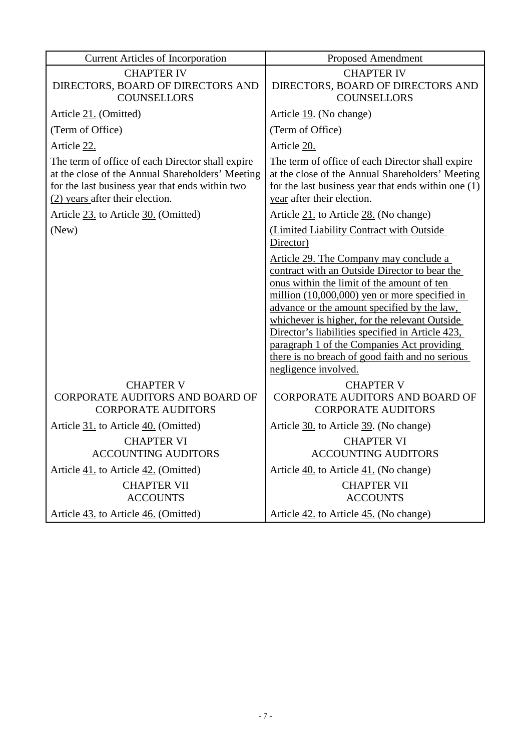| <b>Current Articles of Incorporation</b>                                                                                                                                                   | <b>Proposed Amendment</b>                                                                                                                                                                                                                                                                                                                                                                                                                                             |
|--------------------------------------------------------------------------------------------------------------------------------------------------------------------------------------------|-----------------------------------------------------------------------------------------------------------------------------------------------------------------------------------------------------------------------------------------------------------------------------------------------------------------------------------------------------------------------------------------------------------------------------------------------------------------------|
| <b>CHAPTER IV</b><br>DIRECTORS, BOARD OF DIRECTORS AND<br><b>COUNSELLORS</b>                                                                                                               | <b>CHAPTER IV</b><br>DIRECTORS, BOARD OF DIRECTORS AND<br><b>COUNSELLORS</b>                                                                                                                                                                                                                                                                                                                                                                                          |
| Article 21. (Omitted)                                                                                                                                                                      | Article 19. (No change)                                                                                                                                                                                                                                                                                                                                                                                                                                               |
| (Term of Office)                                                                                                                                                                           | (Term of Office)                                                                                                                                                                                                                                                                                                                                                                                                                                                      |
| Article 22.                                                                                                                                                                                | Article 20.                                                                                                                                                                                                                                                                                                                                                                                                                                                           |
| The term of office of each Director shall expire<br>at the close of the Annual Shareholders' Meeting<br>for the last business year that ends within two<br>(2) years after their election. | The term of office of each Director shall expire<br>at the close of the Annual Shareholders' Meeting<br>for the last business year that ends within one $(1)$<br>year after their election.                                                                                                                                                                                                                                                                           |
| Article 23. to Article 30. (Omitted)                                                                                                                                                       | Article 21. to Article 28. (No change)                                                                                                                                                                                                                                                                                                                                                                                                                                |
| (New)                                                                                                                                                                                      | (Limited Liability Contract with Outside<br>Director)                                                                                                                                                                                                                                                                                                                                                                                                                 |
|                                                                                                                                                                                            | Article 29. The Company may conclude a<br>contract with an Outside Director to bear the<br>onus within the limit of the amount of ten<br>million $(10,000,000)$ yen or more specified in<br>advance or the amount specified by the law,<br>whichever is higher, for the relevant Outside<br>Director's liabilities specified in Article 423,<br>paragraph 1 of the Companies Act providing<br>there is no breach of good faith and no serious<br>negligence involved. |
| <b>CHAPTER V</b>                                                                                                                                                                           | <b>CHAPTER V</b>                                                                                                                                                                                                                                                                                                                                                                                                                                                      |
| CORPORATE AUDITORS AND BOARD OF<br><b>CORPORATE AUDITORS</b>                                                                                                                               | <b>CORPORATE AUDITORS AND BOARD OF</b><br><b>CORPORATE AUDITORS</b>                                                                                                                                                                                                                                                                                                                                                                                                   |
| Article 31. to Article 40. (Omitted)                                                                                                                                                       | Article 30. to Article 39. (No change)                                                                                                                                                                                                                                                                                                                                                                                                                                |
| <b>CHAPTER VI</b><br><b>ACCOUNTING AUDITORS</b>                                                                                                                                            | <b>CHAPTER VI</b><br><b>ACCOUNTING AUDITORS</b>                                                                                                                                                                                                                                                                                                                                                                                                                       |
| Article 41. to Article 42. (Omitted)                                                                                                                                                       | Article 40. to Article 41. (No change)                                                                                                                                                                                                                                                                                                                                                                                                                                |
| <b>CHAPTER VII</b><br><b>ACCOUNTS</b>                                                                                                                                                      | <b>CHAPTER VII</b><br><b>ACCOUNTS</b>                                                                                                                                                                                                                                                                                                                                                                                                                                 |
| Article 43. to Article 46. (Omitted)                                                                                                                                                       | Article 42. to Article 45. (No change)                                                                                                                                                                                                                                                                                                                                                                                                                                |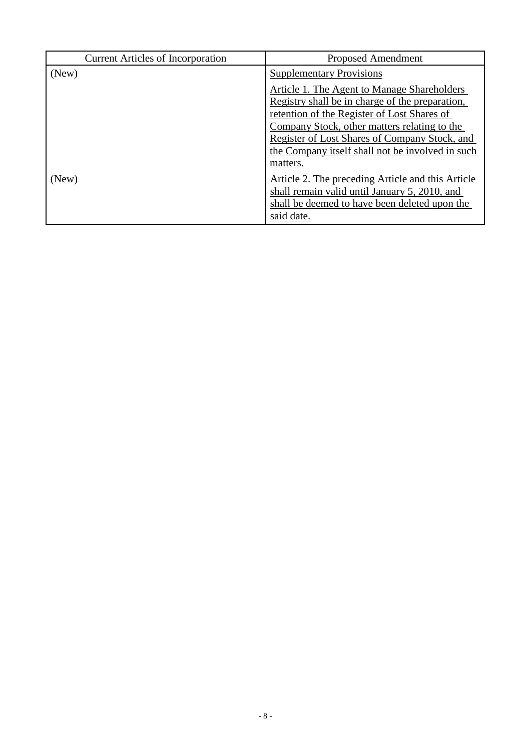| <b>Current Articles of Incorporation</b> | <b>Proposed Amendment</b>                                                                                                                                                                                                                                                                                 |
|------------------------------------------|-----------------------------------------------------------------------------------------------------------------------------------------------------------------------------------------------------------------------------------------------------------------------------------------------------------|
| (New)                                    | <b>Supplementary Provisions</b>                                                                                                                                                                                                                                                                           |
|                                          | <b>Article 1. The Agent to Manage Shareholders</b><br>Registry shall be in charge of the preparation,<br>retention of the Register of Lost Shares of<br>Company Stock, other matters relating to the<br>Register of Lost Shares of Company Stock, and<br>the Company itself shall not be involved in such |
| (New)                                    | matters.<br>Article 2. The preceding Article and this Article<br>shall remain valid until January 5, 2010, and<br>shall be deemed to have been deleted upon the<br>said date.                                                                                                                             |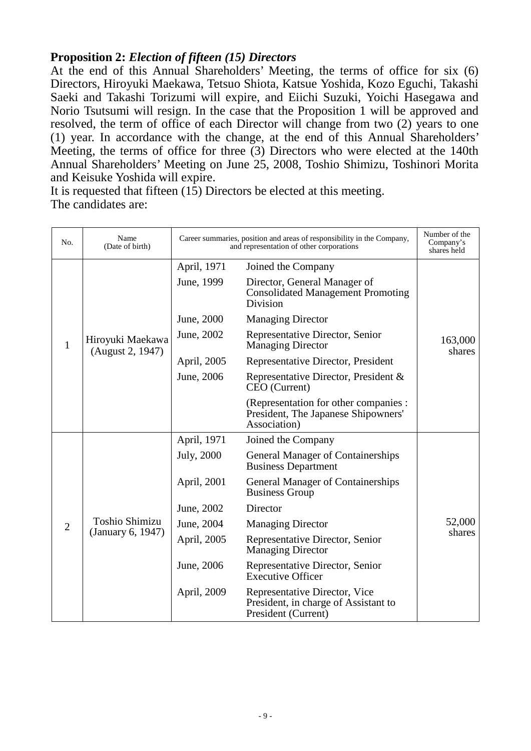# **Proposition 2:** *Election of fifteen (15) Directors*

At the end of this Annual Shareholders' Meeting, the terms of office for six (6) Directors, Hiroyuki Maekawa, Tetsuo Shiota, Katsue Yoshida, Kozo Eguchi, Takashi Saeki and Takashi Torizumi will expire, and Eiichi Suzuki, Yoichi Hasegawa and Norio Tsutsumi will resign. In the case that the Proposition 1 will be approved and resolved, the term of office of each Director will change from two (2) years to one (1) year. In accordance with the change, at the end of this Annual Shareholders' Meeting, the terms of office for three (3) Directors who were elected at the 140th Annual Shareholders' Meeting on June 25, 2008, Toshio Shimizu, Toshinori Morita and Keisuke Yoshida will expire.

It is requested that fifteen (15) Directors be elected at this meeting. The candidates are:

| No.            | Name<br>(Date of birth)                    | Career summaries, position and areas of responsibility in the Company,<br>and representation of other corporations |                                                                                              | Number of the<br>Company's<br>shares held |
|----------------|--------------------------------------------|--------------------------------------------------------------------------------------------------------------------|----------------------------------------------------------------------------------------------|-------------------------------------------|
|                |                                            | April, 1971                                                                                                        | Joined the Company                                                                           |                                           |
|                |                                            | June, 1999                                                                                                         | Director, General Manager of<br><b>Consolidated Management Promoting</b><br>Division         |                                           |
|                |                                            | June, 2000                                                                                                         | <b>Managing Director</b>                                                                     |                                           |
| 1              | Hiroyuki Maekawa<br>(August 2, 1947)       | June, 2002                                                                                                         | Representative Director, Senior<br><b>Managing Director</b>                                  | 163,000<br>shares                         |
|                |                                            | April, 2005                                                                                                        | Representative Director, President                                                           |                                           |
|                |                                            | June, 2006                                                                                                         | Representative Director, President &<br>CEO (Current)                                        |                                           |
|                |                                            |                                                                                                                    | (Representation for other companies :<br>President, The Japanese Shipowners'<br>Association) |                                           |
|                |                                            | April, 1971                                                                                                        | Joined the Company                                                                           |                                           |
|                | <b>Toshio Shimizu</b><br>(January 6, 1947) | July, 2000                                                                                                         | <b>General Manager of Containerships</b><br><b>Business Department</b>                       |                                           |
|                |                                            | April, 2001                                                                                                        | <b>General Manager of Containerships</b><br><b>Business Group</b>                            |                                           |
|                |                                            | June, 2002                                                                                                         | Director                                                                                     |                                           |
| $\overline{2}$ |                                            | June, 2004                                                                                                         | <b>Managing Director</b>                                                                     | 52,000                                    |
|                |                                            | April, 2005                                                                                                        | Representative Director, Senior<br><b>Managing Director</b>                                  | shares                                    |
|                |                                            | June, 2006                                                                                                         | Representative Director, Senior<br><b>Executive Officer</b>                                  |                                           |
|                |                                            | April, 2009                                                                                                        | Representative Director, Vice<br>President, in charge of Assistant to<br>President (Current) |                                           |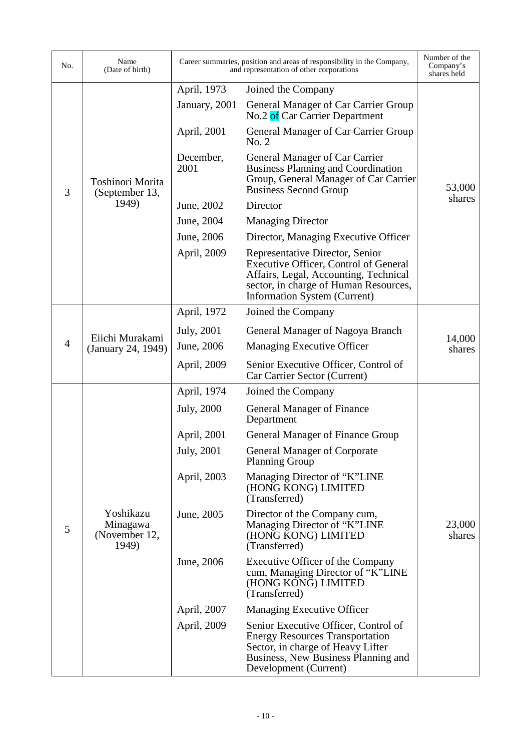| No.            | Name<br>(Date of birth)                         |                   | Career summaries, position and areas of responsibility in the Company,<br>and representation of other corporations                                                                         | Number of the<br>Company's<br>shares held |
|----------------|-------------------------------------------------|-------------------|--------------------------------------------------------------------------------------------------------------------------------------------------------------------------------------------|-------------------------------------------|
|                | Toshinori Morita<br>(September 13,              | April, 1973       | Joined the Company                                                                                                                                                                         |                                           |
|                |                                                 | January, 2001     | General Manager of Car Carrier Group<br>No.2 of Car Carrier Department                                                                                                                     |                                           |
|                |                                                 | April, 2001       | General Manager of Car Carrier Group<br>No. 2                                                                                                                                              |                                           |
| 3              |                                                 | December,<br>2001 | General Manager of Car Carrier<br><b>Business Planning and Coordination</b><br>Group, General Manager of Car Carrier<br><b>Business Second Group</b>                                       | 53,000                                    |
|                | 1949)                                           | June, 2002        | Director                                                                                                                                                                                   | shares                                    |
|                |                                                 | June, 2004        | <b>Managing Director</b>                                                                                                                                                                   |                                           |
|                |                                                 | June, 2006        | Director, Managing Executive Officer                                                                                                                                                       |                                           |
|                |                                                 | April, 2009       | Representative Director, Senior<br>Executive Officer, Control of General<br>Affairs, Legal, Accounting, Technical<br>sector, in charge of Human Resources,<br>Information System (Current) |                                           |
|                |                                                 | April, 1972       | Joined the Company                                                                                                                                                                         |                                           |
|                | Eiichi Murakami<br>(January 24, 1949)           | July, 2001        | General Manager of Nagoya Branch                                                                                                                                                           |                                           |
| $\overline{4}$ |                                                 | June, 2006        | Managing Executive Officer                                                                                                                                                                 | 14,000<br>shares                          |
|                |                                                 | April, 2009       | Senior Executive Officer, Control of<br>Car Carrier Sector (Current)                                                                                                                       |                                           |
|                | Yoshikazu<br>Minagawa<br>(November 12,<br>1949) | April, 1974       | Joined the Company                                                                                                                                                                         |                                           |
|                |                                                 | July, 2000        | General Manager of Finance<br>Department                                                                                                                                                   |                                           |
|                |                                                 | April, 2001       | General Manager of Finance Group                                                                                                                                                           |                                           |
|                |                                                 | July, 2001        | <b>General Manager of Corporate</b><br><b>Planning Group</b>                                                                                                                               |                                           |
|                |                                                 | April, 2003       | Managing Director of "K"LINE<br>(HONG KONG) LIMITED<br>(Transferred)                                                                                                                       |                                           |
| 5              |                                                 | June, 2005        | Director of the Company cum,<br>Managing Director of "K"LINE<br>(HONG KONG) LIMITED<br>(Transferred)                                                                                       | 23,000<br>shares                          |
|                |                                                 | June, 2006        | Executive Officer of the Company<br>cum, Managing Director of "K"LINE<br>(HONG KONG) LIMITED<br>(Transferred)                                                                              |                                           |
|                |                                                 | April, 2007       | <b>Managing Executive Officer</b>                                                                                                                                                          |                                           |
|                |                                                 | April, 2009       | Senior Executive Officer, Control of<br><b>Energy Resources Transportation</b><br>Sector, in charge of Heavy Lifter<br>Business, New Business Planning and<br>Development (Current)        |                                           |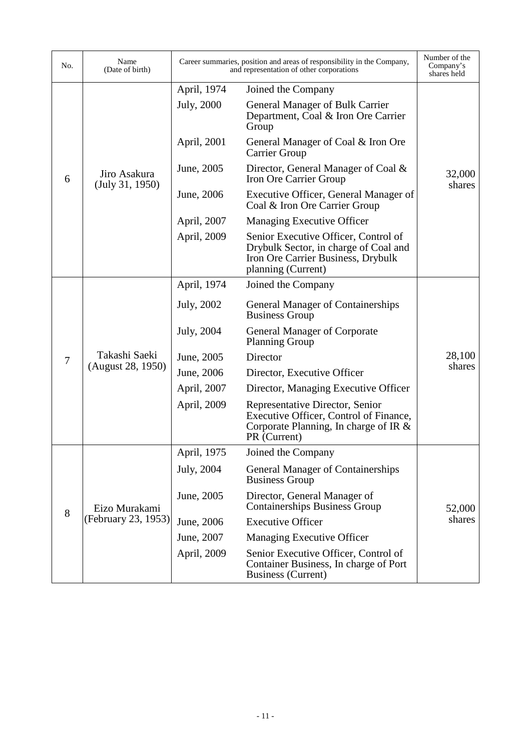| No.            | Name<br>(Date of birth)            | Career summaries, position and areas of responsibility in the Company,<br>and representation of other corporations |                                                                                                                                           | Number of the<br>Company's<br>shares held |
|----------------|------------------------------------|--------------------------------------------------------------------------------------------------------------------|-------------------------------------------------------------------------------------------------------------------------------------------|-------------------------------------------|
|                |                                    | April, 1974                                                                                                        | Joined the Company                                                                                                                        |                                           |
| 6              | Jiro Asakura<br>(July 31, 1950)    | July, 2000                                                                                                         | General Manager of Bulk Carrier<br>Department, Coal & Iron Ore Carrier<br>Group                                                           |                                           |
|                |                                    | April, 2001                                                                                                        | General Manager of Coal & Iron Ore<br><b>Carrier Group</b>                                                                                |                                           |
|                |                                    | June, 2005                                                                                                         | Director, General Manager of Coal &<br>Iron Ore Carrier Group                                                                             | 32,000<br>shares                          |
|                |                                    | June, 2006                                                                                                         | Executive Officer, General Manager of<br>Coal & Iron Ore Carrier Group                                                                    |                                           |
|                |                                    | April, 2007                                                                                                        | <b>Managing Executive Officer</b>                                                                                                         |                                           |
|                |                                    | April, 2009                                                                                                        | Senior Executive Officer, Control of<br>Drybulk Sector, in charge of Coal and<br>Iron Ore Carrier Business, Drybulk<br>planning (Current) |                                           |
|                | Takashi Saeki<br>(August 28, 1950) | April, 1974                                                                                                        | Joined the Company                                                                                                                        |                                           |
|                |                                    | July, 2002                                                                                                         | <b>General Manager of Containerships</b><br><b>Business Group</b>                                                                         |                                           |
|                |                                    | July, 2004                                                                                                         | <b>General Manager of Corporate</b><br><b>Planning Group</b>                                                                              |                                           |
| $\overline{7}$ |                                    | June, 2005                                                                                                         | Director                                                                                                                                  | 28,100                                    |
|                |                                    | June, 2006                                                                                                         | Director, Executive Officer                                                                                                               | shares                                    |
|                |                                    | April, 2007                                                                                                        | Director, Managing Executive Officer                                                                                                      |                                           |
|                |                                    | April, 2009                                                                                                        | Representative Director, Senior<br>Executive Officer, Control of Finance,<br>Corporate Planning, In charge of IR $\&$<br>PR (Current)     |                                           |
|                |                                    | April, 1975                                                                                                        | Joined the Company                                                                                                                        |                                           |
| 8              |                                    | July, 2004                                                                                                         | <b>General Manager of Containerships</b><br><b>Business Group</b>                                                                         |                                           |
|                | Eizo Murakami                      | June, 2005                                                                                                         | Director, General Manager of<br><b>Containerships Business Group</b>                                                                      | 52,000                                    |
|                | (February 23, 1953)                | June, 2006                                                                                                         | <b>Executive Officer</b>                                                                                                                  | shares                                    |
|                |                                    | June, 2007                                                                                                         | <b>Managing Executive Officer</b>                                                                                                         |                                           |
|                |                                    | April, 2009                                                                                                        | Senior Executive Officer, Control of<br>Container Business, In charge of Port<br><b>Business (Current)</b>                                |                                           |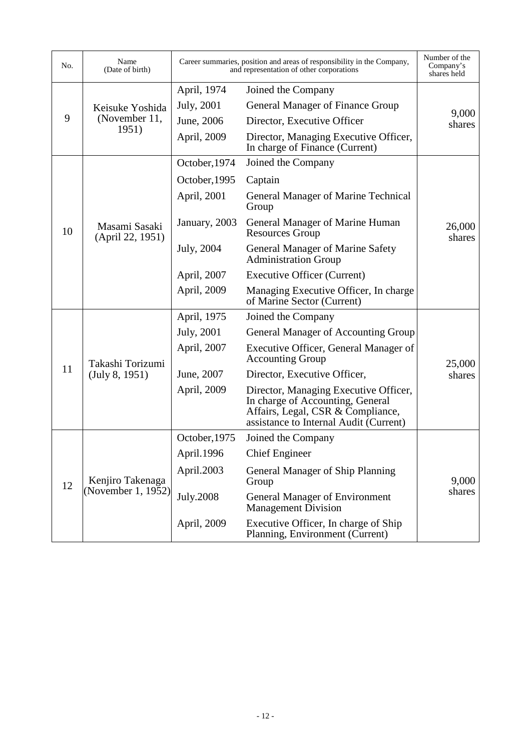| No. | Name<br>(Date of birth)                |               | Career summaries, position and areas of responsibility in the Company,<br>and representation of other corporations                                       | Number of the<br>Company's<br>shares held |
|-----|----------------------------------------|---------------|----------------------------------------------------------------------------------------------------------------------------------------------------------|-------------------------------------------|
|     |                                        | April, 1974   | Joined the Company                                                                                                                                       |                                           |
|     | Keisuke Yoshida<br>(November 11,       | July, 2001    | General Manager of Finance Group                                                                                                                         |                                           |
| 9   |                                        | June, 2006    | Director, Executive Officer                                                                                                                              | 9,000<br>shares                           |
|     | 1951)                                  | April, 2009   | Director, Managing Executive Officer,<br>In charge of Finance (Current)                                                                                  |                                           |
|     |                                        | October, 1974 | Joined the Company                                                                                                                                       |                                           |
|     |                                        | October, 1995 | Captain                                                                                                                                                  |                                           |
|     |                                        | April, 2001   | <b>General Manager of Marine Technical</b><br>Group                                                                                                      |                                           |
| 10  | Masami Sasaki<br>(April 22, 1951)      | January, 2003 | General Manager of Marine Human<br><b>Resources Group</b>                                                                                                | 26,000<br>shares                          |
|     |                                        | July, 2004    | General Manager of Marine Safety<br><b>Administration Group</b>                                                                                          |                                           |
|     |                                        | April, 2007   | <b>Executive Officer (Current)</b>                                                                                                                       |                                           |
|     |                                        | April, 2009   | Managing Executive Officer, In charge<br>of Marine Sector (Current)                                                                                      |                                           |
|     | Takashi Torizumi<br>(July 8, 1951)     | April, 1975   | Joined the Company                                                                                                                                       |                                           |
|     |                                        | July, 2001    | General Manager of Accounting Group                                                                                                                      |                                           |
|     |                                        | April, 2007   | Executive Officer, General Manager of<br><b>Accounting Group</b>                                                                                         | 25,000                                    |
| 11  |                                        | June, 2007    | Director, Executive Officer,                                                                                                                             | shares                                    |
|     |                                        | April, 2009   | Director, Managing Executive Officer,<br>In charge of Accounting, General<br>Affairs, Legal, CSR & Compliance,<br>assistance to Internal Audit (Current) |                                           |
|     |                                        | October, 1975 | Joined the Company                                                                                                                                       |                                           |
| 12  |                                        | April.1996    | <b>Chief Engineer</b>                                                                                                                                    |                                           |
|     | Kenjiro Takenaga<br>(November 1, 1952) | April.2003    | General Manager of Ship Planning<br>Group                                                                                                                | 9,000                                     |
|     |                                        | July.2008     | <b>General Manager of Environment</b><br><b>Management Division</b>                                                                                      | shares                                    |
|     |                                        | April, 2009   | Executive Officer, In charge of Ship<br>Planning, Environment (Current)                                                                                  |                                           |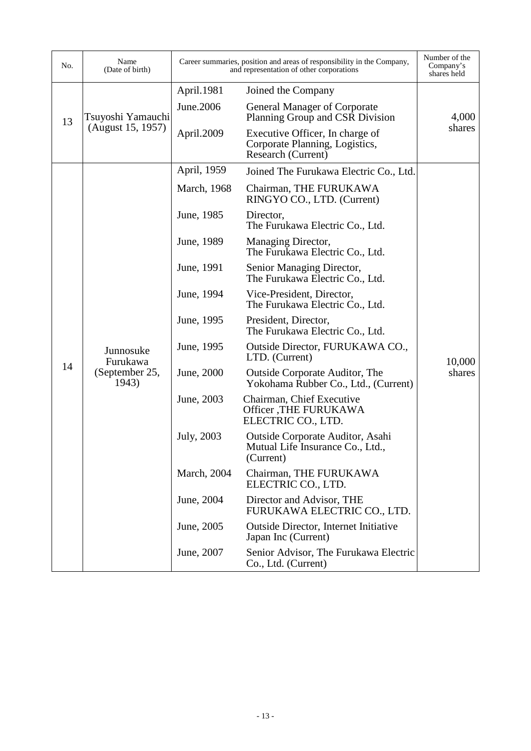| No. | Name<br>(Date of birth)                          | Career summaries, position and areas of responsibility in the Company,<br>and representation of other corporations |                                                                                         | Number of the<br>Company's<br>shares held |
|-----|--------------------------------------------------|--------------------------------------------------------------------------------------------------------------------|-----------------------------------------------------------------------------------------|-------------------------------------------|
|     |                                                  | April.1981                                                                                                         | Joined the Company                                                                      |                                           |
| 13  | Tsuyoshi Yamauchi<br>(August 15, 1957)           | June.2006                                                                                                          | General Manager of Corporate<br>Planning Group and CSR Division                         | 4,000                                     |
|     |                                                  | April.2009                                                                                                         | Executive Officer, In charge of<br>Corporate Planning, Logistics,<br>Research (Current) | shares                                    |
|     |                                                  | April, 1959                                                                                                        | Joined The Furukawa Electric Co., Ltd.                                                  |                                           |
|     |                                                  | March, 1968                                                                                                        | Chairman, THE FURUKAWA<br>RINGYO CO., LTD. (Current)                                    |                                           |
|     |                                                  | June, 1985                                                                                                         | Director,<br>The Furukawa Electric Co., Ltd.                                            |                                           |
|     |                                                  | June, 1989                                                                                                         | Managing Director,<br>The Furukawa Electric Co., Ltd.                                   |                                           |
|     | Junnosuke<br>Furukawa<br>(September 25,<br>1943) | June, 1991                                                                                                         | Senior Managing Director,<br>The Furukawa Electric Co., Ltd.                            |                                           |
|     |                                                  | June, 1994                                                                                                         | Vice-President, Director,<br>The Furukawa Electric Co., Ltd.                            |                                           |
|     |                                                  | June, 1995                                                                                                         | President, Director,<br>The Furukawa Electric Co., Ltd.                                 |                                           |
|     |                                                  | June, 1995                                                                                                         | Outside Director, FURUKAWA CO.,<br>LTD. (Current)                                       | 10,000                                    |
| 14  |                                                  | June, 2000                                                                                                         | <b>Outside Corporate Auditor, The</b><br>Yokohama Rubber Co., Ltd., (Current)           | shares                                    |
|     |                                                  | June, 2003                                                                                                         | Chairman, Chief Executive<br><b>Officer</b> , THE FURUKAWA<br>ELECTRIC CO., LTD.        |                                           |
|     |                                                  | July, 2003                                                                                                         | Outside Corporate Auditor, Asahi<br>Mutual Life Insurance Co., Ltd.,<br>(Current)       |                                           |
|     |                                                  | March, 2004                                                                                                        | Chairman, THE FURUKAWA<br>ELECTRIC CO., LTD.                                            |                                           |
|     |                                                  | June, 2004                                                                                                         | Director and Advisor, THE<br>FURUKAWA ELECTRIC CO., LTD.                                |                                           |
|     |                                                  | June, 2005                                                                                                         | <b>Outside Director, Internet Initiative</b><br>Japan Inc (Current)                     |                                           |
|     |                                                  | June, 2007                                                                                                         | Senior Advisor, The Furukawa Electric<br>Co., Ltd. (Current)                            |                                           |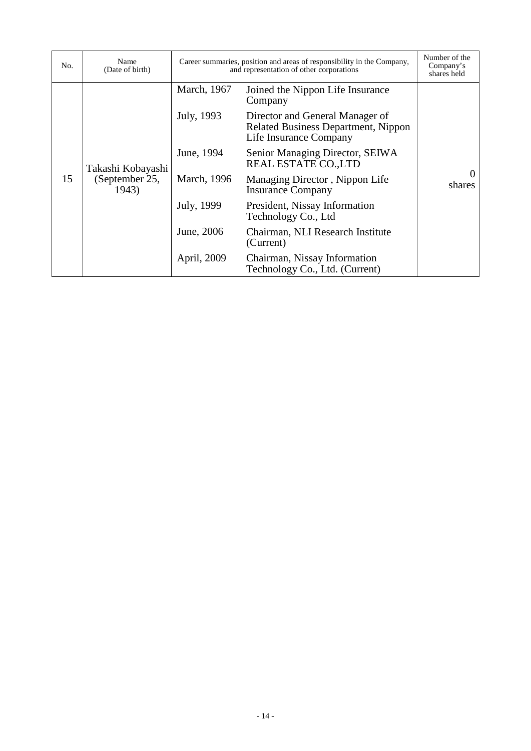| No. | Name<br>(Date of birth)                      | Career summaries, position and areas of responsibility in the Company,<br>and representation of other corporations |                                                                                                         | Number of the<br>Company's<br>shares held |
|-----|----------------------------------------------|--------------------------------------------------------------------------------------------------------------------|---------------------------------------------------------------------------------------------------------|-------------------------------------------|
| 15  |                                              | March, 1967                                                                                                        | Joined the Nippon Life Insurance<br>Company                                                             |                                           |
|     | Takashi Kobayashi<br>(September 25,<br>1943) | July, 1993                                                                                                         | Director and General Manager of<br><b>Related Business Department, Nippon</b><br>Life Insurance Company |                                           |
|     |                                              | June, 1994                                                                                                         | Senior Managing Director, SEIWA<br><b>REAL ESTATE CO., LTD</b>                                          |                                           |
|     |                                              | March, 1996                                                                                                        | Managing Director, Nippon Life<br><b>Insurance Company</b>                                              | shares                                    |
|     |                                              | July, 1999                                                                                                         | President, Nissay Information<br>Technology Co., Ltd                                                    |                                           |
|     |                                              | June, 2006                                                                                                         | Chairman, NLI Research Institute<br>(Current)                                                           |                                           |
|     |                                              | April, 2009                                                                                                        | Chairman, Nissay Information<br>Technology Co., Ltd. (Current)                                          |                                           |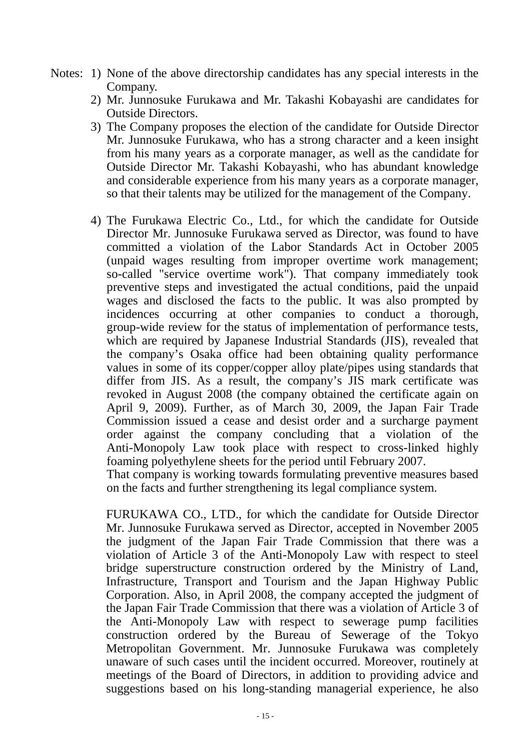- Notes: 1) None of the above directorship candidates has any special interests in the Company.
	- 2) Mr. Junnosuke Furukawa and Mr. Takashi Kobayashi are candidates for Outside Directors.
	- 3) The Company proposes the election of the candidate for Outside Director Mr. Junnosuke Furukawa, who has a strong character and a keen insight from his many years as a corporate manager, as well as the candidate for Outside Director Mr. Takashi Kobayashi, who has abundant knowledge and considerable experience from his many years as a corporate manager, so that their talents may be utilized for the management of the Company.
	- 4) The Furukawa Electric Co., Ltd., for which the candidate for Outside Director Mr. Junnosuke Furukawa served as Director, was found to have committed a violation of the Labor Standards Act in October 2005 (unpaid wages resulting from improper overtime work management; so-called "service overtime work"). That company immediately took preventive steps and investigated the actual conditions, paid the unpaid wages and disclosed the facts to the public. It was also prompted by incidences occurring at other companies to conduct a thorough, group-wide review for the status of implementation of performance tests, which are required by Japanese Industrial Standards (JIS), revealed that the company's Osaka office had been obtaining quality performance values in some of its copper/copper alloy plate/pipes using standards that differ from JIS. As a result, the company's JIS mark certificate was revoked in August 2008 (the company obtained the certificate again on April 9, 2009). Further, as of March 30, 2009, the Japan Fair Trade Commission issued a cease and desist order and a surcharge payment order against the company concluding that a violation of the Anti-Monopoly Law took place with respect to cross-linked highly foaming polyethylene sheets for the period until February 2007.

That company is working towards formulating preventive measures based on the facts and further strengthening its legal compliance system.

FURUKAWA CO., LTD., for which the candidate for Outside Director Mr. Junnosuke Furukawa served as Director, accepted in November 2005 the judgment of the Japan Fair Trade Commission that there was a violation of Article 3 of the Anti-Monopoly Law with respect to steel bridge superstructure construction ordered by the Ministry of Land, Infrastructure, Transport and Tourism and the Japan Highway Public Corporation. Also, in April 2008, the company accepted the judgment of the Japan Fair Trade Commission that there was a violation of Article 3 of the Anti-Monopoly Law with respect to sewerage pump facilities construction ordered by the Bureau of Sewerage of the Tokyo Metropolitan Government. Mr. Junnosuke Furukawa was completely unaware of such cases until the incident occurred. Moreover, routinely at meetings of the Board of Directors, in addition to providing advice and suggestions based on his long-standing managerial experience, he also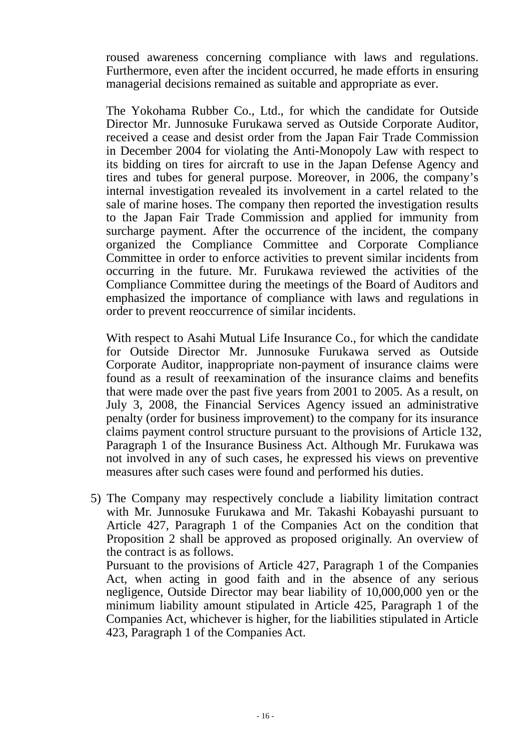roused awareness concerning compliance with laws and regulations. Furthermore, even after the incident occurred, he made efforts in ensuring managerial decisions remained as suitable and appropriate as ever.

The Yokohama Rubber Co., Ltd., for which the candidate for Outside Director Mr. Junnosuke Furukawa served as Outside Corporate Auditor, received a cease and desist order from the Japan Fair Trade Commission in December 2004 for violating the Anti-Monopoly Law with respect to its bidding on tires for aircraft to use in the Japan Defense Agency and tires and tubes for general purpose. Moreover, in 2006, the company's internal investigation revealed its involvement in a cartel related to the sale of marine hoses. The company then reported the investigation results to the Japan Fair Trade Commission and applied for immunity from surcharge payment. After the occurrence of the incident, the company organized the Compliance Committee and Corporate Compliance Committee in order to enforce activities to prevent similar incidents from occurring in the future. Mr. Furukawa reviewed the activities of the Compliance Committee during the meetings of the Board of Auditors and emphasized the importance of compliance with laws and regulations in order to prevent reoccurrence of similar incidents.

With respect to Asahi Mutual Life Insurance Co., for which the candidate for Outside Director Mr. Junnosuke Furukawa served as Outside Corporate Auditor, inappropriate non-payment of insurance claims were found as a result of reexamination of the insurance claims and benefits that were made over the past five years from 2001 to 2005. As a result, on July 3, 2008, the Financial Services Agency issued an administrative penalty (order for business improvement) to the company for its insurance claims payment control structure pursuant to the provisions of Article 132, Paragraph 1 of the Insurance Business Act. Although Mr. Furukawa was not involved in any of such cases, he expressed his views on preventive measures after such cases were found and performed his duties.

5) The Company may respectively conclude a liability limitation contract with Mr. Junnosuke Furukawa and Mr. Takashi Kobayashi pursuant to Article 427, Paragraph 1 of the Companies Act on the condition that Proposition 2 shall be approved as proposed originally. An overview of the contract is as follows.

Pursuant to the provisions of Article 427, Paragraph 1 of the Companies Act, when acting in good faith and in the absence of any serious negligence, Outside Director may bear liability of 10,000,000 yen or the minimum liability amount stipulated in Article 425, Paragraph 1 of the Companies Act, whichever is higher, for the liabilities stipulated in Article 423, Paragraph 1 of the Companies Act.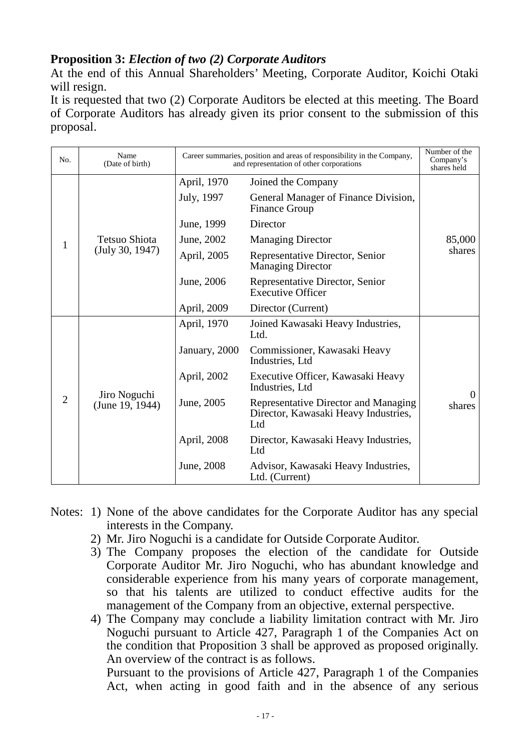# **Proposition 3:** *Election of two (2) Corporate Auditors*

At the end of this Annual Shareholders' Meeting, Corporate Auditor, Koichi Otaki will resign.

It is requested that two (2) Corporate Auditors be elected at this meeting. The Board of Corporate Auditors has already given its prior consent to the submission of this proposal.

| No.            | Name<br>(Date of birth)          |               | Career summaries, position and areas of responsibility in the Company,<br>and representation of other corporations | Number of the<br>Company's<br>shares held |
|----------------|----------------------------------|---------------|--------------------------------------------------------------------------------------------------------------------|-------------------------------------------|
|                | Tetsuo Shiota<br>(July 30, 1947) | April, 1970   | Joined the Company                                                                                                 |                                           |
|                |                                  | July, 1997    | General Manager of Finance Division,<br><b>Finance Group</b>                                                       | 85,000<br>shares                          |
|                |                                  | June, 1999    | Director                                                                                                           |                                           |
| 1              |                                  | June, 2002    | <b>Managing Director</b>                                                                                           |                                           |
|                |                                  | April, 2005   | Representative Director, Senior<br><b>Managing Director</b>                                                        |                                           |
|                |                                  | June, 2006    | Representative Director, Senior<br><b>Executive Officer</b>                                                        |                                           |
|                |                                  | April, 2009   | Director (Current)                                                                                                 |                                           |
| $\overline{2}$ | Jiro Noguchi<br>(June 19, 1944)  | April, 1970   | Joined Kawasaki Heavy Industries,<br>Ltd.                                                                          |                                           |
|                |                                  | January, 2000 | Commissioner, Kawasaki Heavy<br>Industries, Ltd                                                                    |                                           |
|                |                                  | April, 2002   | Executive Officer, Kawasaki Heavy<br>Industries, Ltd                                                               |                                           |
|                |                                  | June, 2005    | Representative Director and Managing<br>Director, Kawasaki Heavy Industries,<br>Ltd                                | $\mathbf{\Omega}$<br>shares               |
|                |                                  | April, 2008   | Director, Kawasaki Heavy Industries,<br>Ltd                                                                        |                                           |
|                |                                  | June, 2008    | Advisor, Kawasaki Heavy Industries,<br>Ltd. (Current)                                                              |                                           |

- Notes: 1) None of the above candidates for the Corporate Auditor has any special interests in the Company.
	- 2) Mr. Jiro Noguchi is a candidate for Outside Corporate Auditor.
	- 3) The Company proposes the election of the candidate for Outside Corporate Auditor Mr. Jiro Noguchi, who has abundant knowledge and considerable experience from his many years of corporate management, so that his talents are utilized to conduct effective audits for the management of the Company from an objective, external perspective.
	- 4) The Company may conclude a liability limitation contract with Mr. Jiro Noguchi pursuant to Article 427, Paragraph 1 of the Companies Act on the condition that Proposition 3 shall be approved as proposed originally. An overview of the contract is as follows.

Pursuant to the provisions of Article 427, Paragraph 1 of the Companies Act, when acting in good faith and in the absence of any serious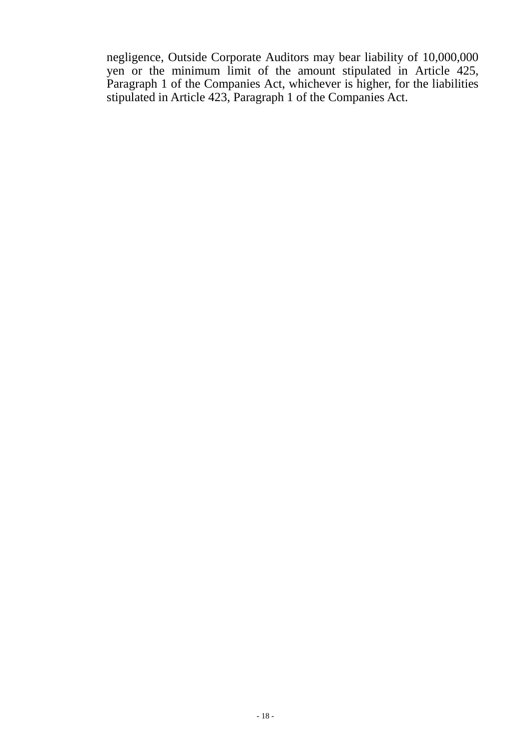negligence, Outside Corporate Auditors may bear liability of 10,000,000 yen or the minimum limit of the amount stipulated in Article 425, Paragraph 1 of the Companies Act, whichever is higher, for the liabilities stipulated in Article 423, Paragraph 1 of the Companies Act.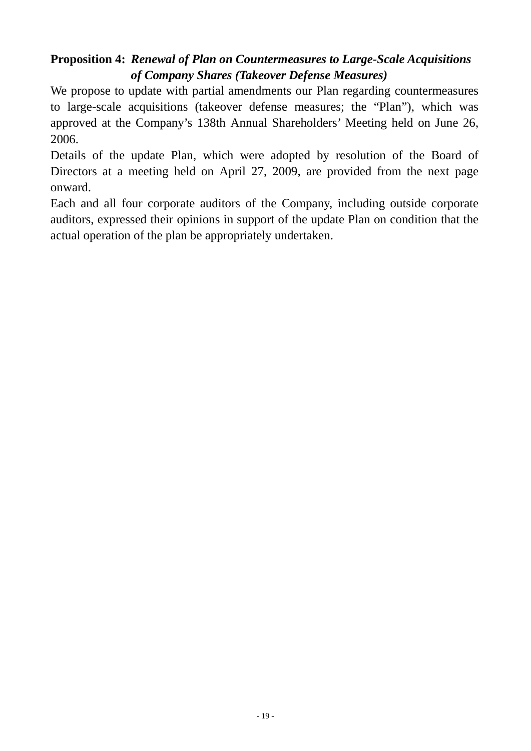# **Proposition 4:** *Renewal of Plan on Countermeasures to Large-Scale Acquisitions of Company Shares (Takeover Defense Measures)*

We propose to update with partial amendments our Plan regarding countermeasures to large-scale acquisitions (takeover defense measures; the "Plan"), which was approved at the Company's 138th Annual Shareholders' Meeting held on June 26, 2006.

Details of the update Plan, which were adopted by resolution of the Board of Directors at a meeting held on April 27, 2009, are provided from the next page onward.

Each and all four corporate auditors of the Company, including outside corporate auditors, expressed their opinions in support of the update Plan on condition that the actual operation of the plan be appropriately undertaken.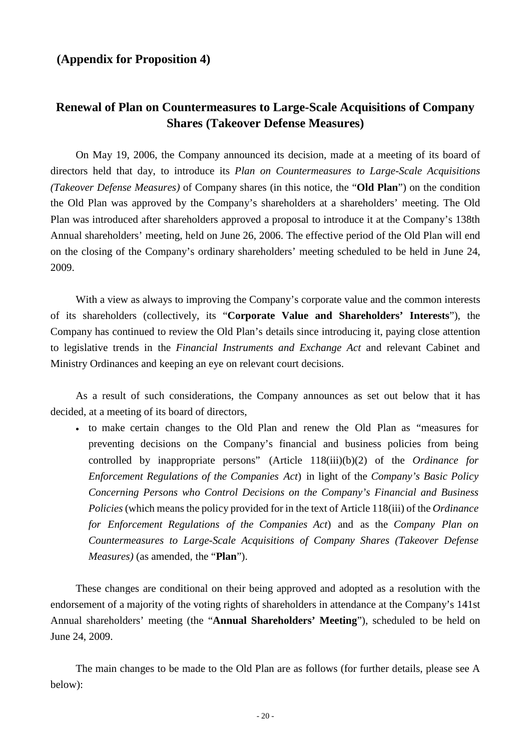## **(Appendix for Proposition 4)**

# **Renewal of Plan on Countermeasures to Large-Scale Acquisitions of Company Shares (Takeover Defense Measures)**

On May 19, 2006, the Company announced its decision, made at a meeting of its board of directors held that day, to introduce its *Plan on Countermeasures to Large-Scale Acquisitions (Takeover Defense Measures)* of Company shares (in this notice, the "**Old Plan**") on the condition the Old Plan was approved by the Company's shareholders at a shareholders' meeting. The Old Plan was introduced after shareholders approved a proposal to introduce it at the Company's 138th Annual shareholders' meeting, held on June 26, 2006. The effective period of the Old Plan will end on the closing of the Company's ordinary shareholders' meeting scheduled to be held in June 24, 2009.

With a view as always to improving the Company's corporate value and the common interests of its shareholders (collectively, its "**Corporate Value and Shareholders' Interests**"), the Company has continued to review the Old Plan's details since introducing it, paying close attention to legislative trends in the *Financial Instruments and Exchange Act* and relevant Cabinet and Ministry Ordinances and keeping an eye on relevant court decisions.

As a result of such considerations, the Company announces as set out below that it has decided, at a meeting of its board of directors,

• to make certain changes to the Old Plan and renew the Old Plan as "measures for preventing decisions on the Company's financial and business policies from being controlled by inappropriate persons" (Article 118(iii)(b)(2) of the *Ordinance for Enforcement Regulations of the Companies Act*) in light of the *Company's Basic Policy Concerning Persons who Control Decisions on the Company's Financial and Business Policies* (which means the policy provided for in the text of Article 118(iii) of the *Ordinance for Enforcement Regulations of the Companies Act*) and as the *Company Plan on Countermeasures to Large-Scale Acquisitions of Company Shares (Takeover Defense Measures)* (as amended, the "**Plan**").

These changes are conditional on their being approved and adopted as a resolution with the endorsement of a majority of the voting rights of shareholders in attendance at the Company's 141st Annual shareholders' meeting (the "**Annual Shareholders' Meeting**"), scheduled to be held on June 24, 2009.

The main changes to be made to the Old Plan are as follows (for further details, please see A below):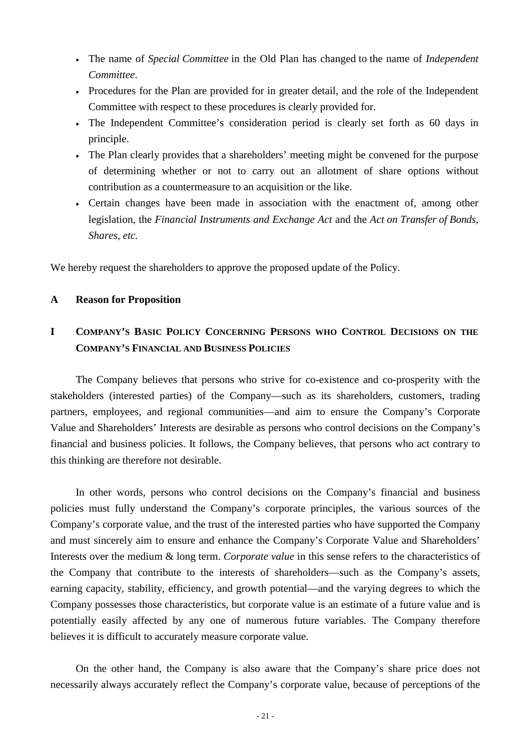- The name of *Special Committee* in the Old Plan has changed to the name of *Independent Committee*.
- Procedures for the Plan are provided for in greater detail, and the role of the Independent Committee with respect to these procedures is clearly provided for.
- The Independent Committee's consideration period is clearly set forth as 60 days in principle.
- The Plan clearly provides that a shareholders' meeting might be convened for the purpose of determining whether or not to carry out an allotment of share options without contribution as a countermeasure to an acquisition or the like.
- Certain changes have been made in association with the enactment of, among other legislation, the *Financial Instruments and Exchange Act* and the *Act on Transfer of Bonds, Shares, etc.*

We hereby request the shareholders to approve the proposed update of the Policy.

### **A Reason for Proposition**

# **I COMPANY'S BASIC POLICY CONCERNING PERSONS WHO CONTROL DECISIONS ON THE COMPANY'S FINANCIAL AND BUSINESS POLICIES**

The Company believes that persons who strive for co-existence and co-prosperity with the stakeholders (interested parties) of the Company—such as its shareholders, customers, trading partners, employees, and regional communities—and aim to ensure the Company's Corporate Value and Shareholders' Interests are desirable as persons who control decisions on the Company's financial and business policies. It follows, the Company believes, that persons who act contrary to this thinking are therefore not desirable.

In other words, persons who control decisions on the Company's financial and business policies must fully understand the Company's corporate principles, the various sources of the Company's corporate value, and the trust of the interested parties who have supported the Company and must sincerely aim to ensure and enhance the Company's Corporate Value and Shareholders' Interests over the medium & long term. *Corporate value* in this sense refers to the characteristics of the Company that contribute to the interests of shareholders—such as the Company's assets, earning capacity, stability, efficiency, and growth potential—and the varying degrees to which the Company possesses those characteristics, but corporate value is an estimate of a future value and is potentially easily affected by any one of numerous future variables. The Company therefore believes it is difficult to accurately measure corporate value.

On the other hand, the Company is also aware that the Company's share price does not necessarily always accurately reflect the Company's corporate value, because of perceptions of the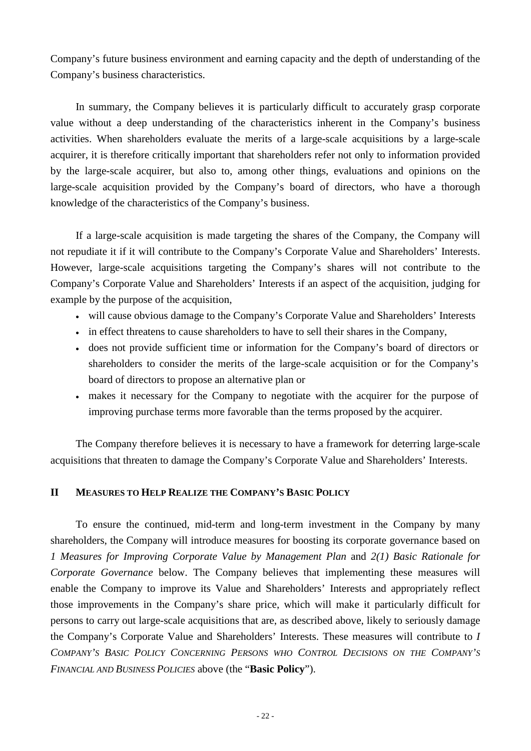Company's future business environment and earning capacity and the depth of understanding of the Company's business characteristics.

In summary, the Company believes it is particularly difficult to accurately grasp corporate value without a deep understanding of the characteristics inherent in the Company's business activities. When shareholders evaluate the merits of a large-scale acquisitions by a large-scale acquirer, it is therefore critically important that shareholders refer not only to information provided by the large-scale acquirer, but also to, among other things, evaluations and opinions on the large-scale acquisition provided by the Company's board of directors, who have a thorough knowledge of the characteristics of the Company's business.

If a large-scale acquisition is made targeting the shares of the Company, the Company will not repudiate it if it will contribute to the Company's Corporate Value and Shareholders' Interests. However, large-scale acquisitions targeting the Company's shares will not contribute to the Company's Corporate Value and Shareholders' Interests if an aspect of the acquisition, judging for example by the purpose of the acquisition,

- will cause obvious damage to the Company's Corporate Value and Shareholders' Interests
- in effect threatens to cause shareholders to have to sell their shares in the Company,
- does not provide sufficient time or information for the Company's board of directors or shareholders to consider the merits of the large-scale acquisition or for the Company's board of directors to propose an alternative plan or
- makes it necessary for the Company to negotiate with the acquirer for the purpose of improving purchase terms more favorable than the terms proposed by the acquirer.

The Company therefore believes it is necessary to have a framework for deterring large-scale acquisitions that threaten to damage the Company's Corporate Value and Shareholders' Interests.

## **II MEASURES TO HELP REALIZE THE COMPANY'S BASIC POLICY**

To ensure the continued, mid-term and long-term investment in the Company by many shareholders, the Company will introduce measures for boosting its corporate governance based on *1 Measures for Improving Corporate Value by Management Plan* and *2(1) Basic Rationale for Corporate Governance* below. The Company believes that implementing these measures will enable the Company to improve its Value and Shareholders' Interests and appropriately reflect those improvements in the Company's share price, which will make it particularly difficult for persons to carry out large-scale acquisitions that are, as described above, likely to seriously damage the Company's Corporate Value and Shareholders' Interests. These measures will contribute to *I COMPANY'S BASIC POLICY CONCERNING PERSONS WHO CONTROL DECISIONS ON THE COMPANY'S FINANCIAL AND BUSINESS POLICIES* above (the "**Basic Policy**").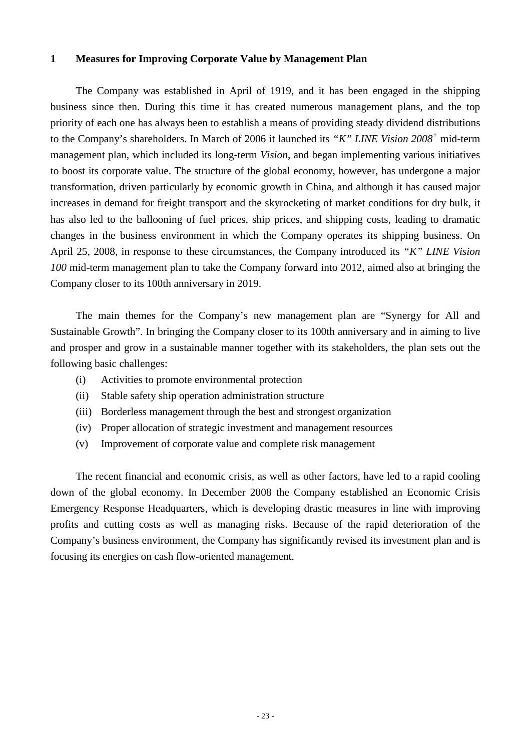#### **1 Measures for Improving Corporate Value by Management Plan**

The Company was established in April of 1919, and it has been engaged in the shipping business since then. During this time it has created numerous management plans, and the top priority of each one has always been to establish a means of providing steady dividend distributions to the Company's shareholders. In March of 2006 it launched its *"K" LINE Vision 2008+* mid-term management plan, which included its long-term *Vision*, and began implementing various initiatives to boost its corporate value. The structure of the global economy, however, has undergone a major transformation, driven particularly by economic growth in China, and although it has caused major increases in demand for freight transport and the skyrocketing of market conditions for dry bulk, it has also led to the ballooning of fuel prices, ship prices, and shipping costs, leading to dramatic changes in the business environment in which the Company operates its shipping business. On April 25, 2008, in response to these circumstances, the Company introduced its *"K" LINE Vision 100* mid-term management plan to take the Company forward into 2012, aimed also at bringing the Company closer to its 100th anniversary in 2019.

The main themes for the Company's new management plan are "Synergy for All and Sustainable Growth". In bringing the Company closer to its 100th anniversary and in aiming to live and prosper and grow in a sustainable manner together with its stakeholders, the plan sets out the following basic challenges:

- (i) Activities to promote environmental protection
- (ii) Stable safety ship operation administration structure
- (iii) Borderless management through the best and strongest organization
- (iv) Proper allocation of strategic investment and management resources
- (v) Improvement of corporate value and complete risk management

The recent financial and economic crisis, as well as other factors, have led to a rapid cooling down of the global economy. In December 2008 the Company established an Economic Crisis Emergency Response Headquarters, which is developing drastic measures in line with improving profits and cutting costs as well as managing risks. Because of the rapid deterioration of the Company's business environment, the Company has significantly revised its investment plan and is focusing its energies on cash flow-oriented management.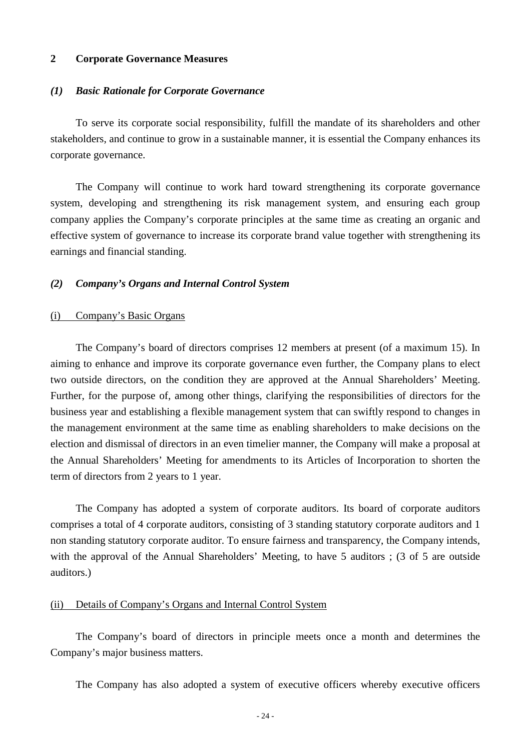### **2 Corporate Governance Measures**

#### *(1) Basic Rationale for Corporate Governance*

To serve its corporate social responsibility, fulfill the mandate of its shareholders and other stakeholders, and continue to grow in a sustainable manner, it is essential the Company enhances its corporate governance.

The Company will continue to work hard toward strengthening its corporate governance system, developing and strengthening its risk management system, and ensuring each group company applies the Company's corporate principles at the same time as creating an organic and effective system of governance to increase its corporate brand value together with strengthening its earnings and financial standing.

#### *(2) Company's Organs and Internal Control System*

#### (i) Company's Basic Organs

The Company's board of directors comprises 12 members at present (of a maximum 15). In aiming to enhance and improve its corporate governance even further, the Company plans to elect two outside directors, on the condition they are approved at the Annual Shareholders' Meeting. Further, for the purpose of, among other things, clarifying the responsibilities of directors for the business year and establishing a flexible management system that can swiftly respond to changes in the management environment at the same time as enabling shareholders to make decisions on the election and dismissal of directors in an even timelier manner, the Company will make a proposal at the Annual Shareholders' Meeting for amendments to its Articles of Incorporation to shorten the term of directors from 2 years to 1 year.

The Company has adopted a system of corporate auditors. Its board of corporate auditors comprises a total of 4 corporate auditors, consisting of 3 standing statutory corporate auditors and 1 non standing statutory corporate auditor. To ensure fairness and transparency, the Company intends, with the approval of the Annual Shareholders' Meeting, to have 5 auditors; (3 of 5 are outside auditors.)

### (ii) Details of Company's Organs and Internal Control System

The Company's board of directors in principle meets once a month and determines the Company's major business matters.

The Company has also adopted a system of executive officers whereby executive officers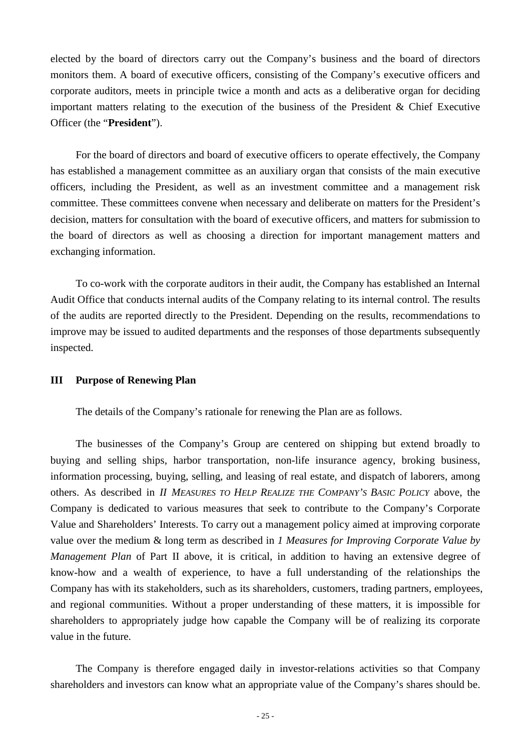elected by the board of directors carry out the Company's business and the board of directors monitors them. A board of executive officers, consisting of the Company's executive officers and corporate auditors, meets in principle twice a month and acts as a deliberative organ for deciding important matters relating to the execution of the business of the President & Chief Executive Officer (the "**President**").

For the board of directors and board of executive officers to operate effectively, the Company has established a management committee as an auxiliary organ that consists of the main executive officers, including the President, as well as an investment committee and a management risk committee. These committees convene when necessary and deliberate on matters for the President's decision, matters for consultation with the board of executive officers, and matters for submission to the board of directors as well as choosing a direction for important management matters and exchanging information.

To co-work with the corporate auditors in their audit, the Company has established an Internal Audit Office that conducts internal audits of the Company relating to its internal control. The results of the audits are reported directly to the President. Depending on the results, recommendations to improve may be issued to audited departments and the responses of those departments subsequently inspected.

#### **III Purpose of Renewing Plan**

The details of the Company's rationale for renewing the Plan are as follows.

The businesses of the Company's Group are centered on shipping but extend broadly to buying and selling ships, harbor transportation, non-life insurance agency, broking business, information processing, buying, selling, and leasing of real estate, and dispatch of laborers, among others. As described in *II MEASURES TO HELP REALIZE THE COMPANY'S BASIC POLICY* above, the Company is dedicated to various measures that seek to contribute to the Company's Corporate Value and Shareholders' Interests. To carry out a management policy aimed at improving corporate value over the medium & long term as described in *1 Measures for Improving Corporate Value by Management Plan* of Part II above, it is critical, in addition to having an extensive degree of know-how and a wealth of experience, to have a full understanding of the relationships the Company has with its stakeholders, such as its shareholders, customers, trading partners, employees, and regional communities. Without a proper understanding of these matters, it is impossible for shareholders to appropriately judge how capable the Company will be of realizing its corporate value in the future.

The Company is therefore engaged daily in investor-relations activities so that Company shareholders and investors can know what an appropriate value of the Company's shares should be.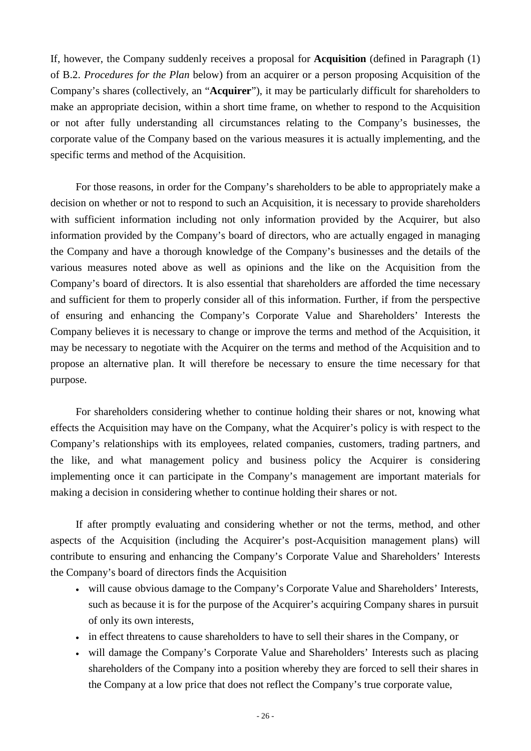If, however, the Company suddenly receives a proposal for **Acquisition** (defined in Paragraph (1) of B.2. *Procedures for the Plan* below) from an acquirer or a person proposing Acquisition of the Company's shares (collectively, an "**Acquirer**"), it may be particularly difficult for shareholders to make an appropriate decision, within a short time frame, on whether to respond to the Acquisition or not after fully understanding all circumstances relating to the Company's businesses, the corporate value of the Company based on the various measures it is actually implementing, and the specific terms and method of the Acquisition.

For those reasons, in order for the Company's shareholders to be able to appropriately make a decision on whether or not to respond to such an Acquisition, it is necessary to provide shareholders with sufficient information including not only information provided by the Acquirer, but also information provided by the Company's board of directors, who are actually engaged in managing the Company and have a thorough knowledge of the Company's businesses and the details of the various measures noted above as well as opinions and the like on the Acquisition from the Company's board of directors. It is also essential that shareholders are afforded the time necessary and sufficient for them to properly consider all of this information. Further, if from the perspective of ensuring and enhancing the Company's Corporate Value and Shareholders' Interests the Company believes it is necessary to change or improve the terms and method of the Acquisition, it may be necessary to negotiate with the Acquirer on the terms and method of the Acquisition and to propose an alternative plan. It will therefore be necessary to ensure the time necessary for that purpose.

For shareholders considering whether to continue holding their shares or not, knowing what effects the Acquisition may have on the Company, what the Acquirer's policy is with respect to the Company's relationships with its employees, related companies, customers, trading partners, and the like, and what management policy and business policy the Acquirer is considering implementing once it can participate in the Company's management are important materials for making a decision in considering whether to continue holding their shares or not.

If after promptly evaluating and considering whether or not the terms, method, and other aspects of the Acquisition (including the Acquirer's post-Acquisition management plans) will contribute to ensuring and enhancing the Company's Corporate Value and Shareholders' Interests the Company's board of directors finds the Acquisition

- will cause obvious damage to the Company's Corporate Value and Shareholders' Interests, such as because it is for the purpose of the Acquirer's acquiring Company shares in pursuit of only its own interests,
- in effect threatens to cause shareholders to have to sell their shares in the Company, or
- will damage the Company's Corporate Value and Shareholders' Interests such as placing shareholders of the Company into a position whereby they are forced to sell their shares in the Company at a low price that does not reflect the Company's true corporate value,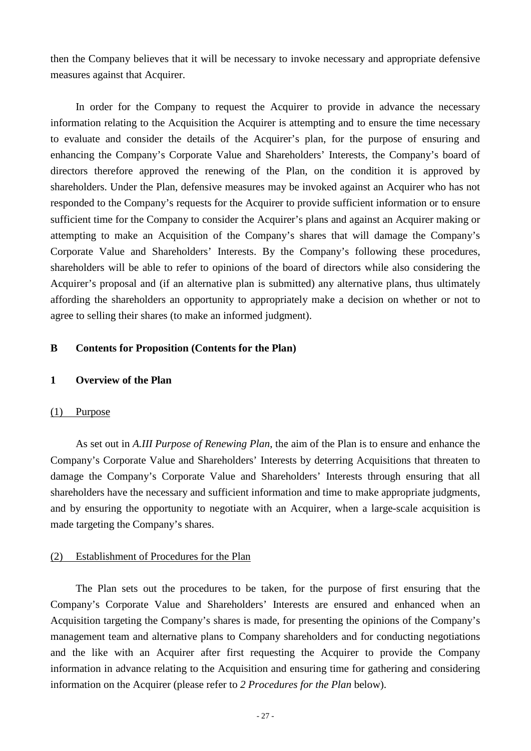then the Company believes that it will be necessary to invoke necessary and appropriate defensive measures against that Acquirer.

In order for the Company to request the Acquirer to provide in advance the necessary information relating to the Acquisition the Acquirer is attempting and to ensure the time necessary to evaluate and consider the details of the Acquirer's plan, for the purpose of ensuring and enhancing the Company's Corporate Value and Shareholders' Interests, the Company's board of directors therefore approved the renewing of the Plan, on the condition it is approved by shareholders. Under the Plan, defensive measures may be invoked against an Acquirer who has not responded to the Company's requests for the Acquirer to provide sufficient information or to ensure sufficient time for the Company to consider the Acquirer's plans and against an Acquirer making or attempting to make an Acquisition of the Company's shares that will damage the Company's Corporate Value and Shareholders' Interests. By the Company's following these procedures, shareholders will be able to refer to opinions of the board of directors while also considering the Acquirer's proposal and (if an alternative plan is submitted) any alternative plans, thus ultimately affording the shareholders an opportunity to appropriately make a decision on whether or not to agree to selling their shares (to make an informed judgment).

## **B Contents for Proposition (Contents for the Plan)**

### **1 Overview of the Plan**

#### (1) Purpose

As set out in *A.III Purpose of Renewing Plan*, the aim of the Plan is to ensure and enhance the Company's Corporate Value and Shareholders' Interests by deterring Acquisitions that threaten to damage the Company's Corporate Value and Shareholders' Interests through ensuring that all shareholders have the necessary and sufficient information and time to make appropriate judgments, and by ensuring the opportunity to negotiate with an Acquirer, when a large-scale acquisition is made targeting the Company's shares.

#### (2) Establishment of Procedures for the Plan

The Plan sets out the procedures to be taken, for the purpose of first ensuring that the Company's Corporate Value and Shareholders' Interests are ensured and enhanced when an Acquisition targeting the Company's shares is made, for presenting the opinions of the Company's management team and alternative plans to Company shareholders and for conducting negotiations and the like with an Acquirer after first requesting the Acquirer to provide the Company information in advance relating to the Acquisition and ensuring time for gathering and considering information on the Acquirer (please refer to *2 Procedures for the Plan* below).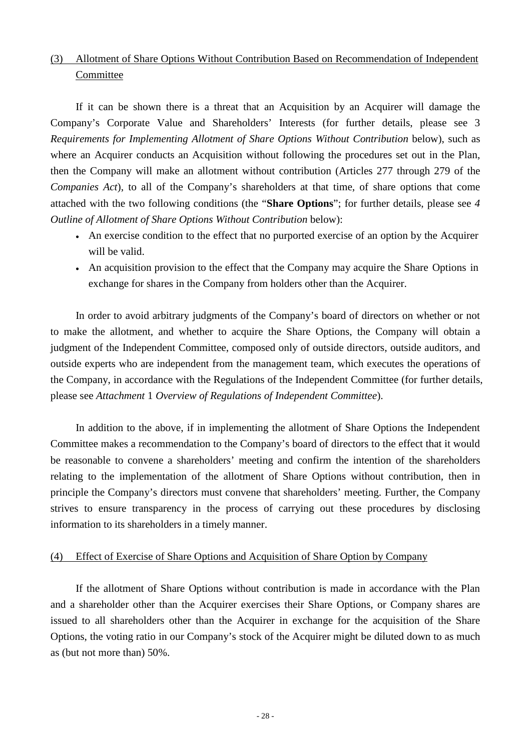# (3) Allotment of Share Options Without Contribution Based on Recommendation of Independent Committee

If it can be shown there is a threat that an Acquisition by an Acquirer will damage the Company's Corporate Value and Shareholders' Interests (for further details, please see 3 *Requirements for Implementing Allotment of Share Options Without Contribution* below), such as where an Acquirer conducts an Acquisition without following the procedures set out in the Plan, then the Company will make an allotment without contribution (Articles 277 through 279 of the *Companies Act*), to all of the Company's shareholders at that time, of share options that come attached with the two following conditions (the "**Share Options**"; for further details, please see *4 Outline of Allotment of Share Options Without Contribution* below):

- An exercise condition to the effect that no purported exercise of an option by the Acquirer will be valid.
- An acquisition provision to the effect that the Company may acquire the Share Options in exchange for shares in the Company from holders other than the Acquirer.

In order to avoid arbitrary judgments of the Company's board of directors on whether or not to make the allotment, and whether to acquire the Share Options, the Company will obtain a judgment of the Independent Committee, composed only of outside directors, outside auditors, and outside experts who are independent from the management team, which executes the operations of the Company, in accordance with the Regulations of the Independent Committee (for further details, please see *Attachment* 1 *Overview of Regulations of Independent Committee*).

In addition to the above, if in implementing the allotment of Share Options the Independent Committee makes a recommendation to the Company's board of directors to the effect that it would be reasonable to convene a shareholders' meeting and confirm the intention of the shareholders relating to the implementation of the allotment of Share Options without contribution, then in principle the Company's directors must convene that shareholders' meeting. Further, the Company strives to ensure transparency in the process of carrying out these procedures by disclosing information to its shareholders in a timely manner.

### (4) Effect of Exercise of Share Options and Acquisition of Share Option by Company

If the allotment of Share Options without contribution is made in accordance with the Plan and a shareholder other than the Acquirer exercises their Share Options, or Company shares are issued to all shareholders other than the Acquirer in exchange for the acquisition of the Share Options, the voting ratio in our Company's stock of the Acquirer might be diluted down to as much as (but not more than) 50%.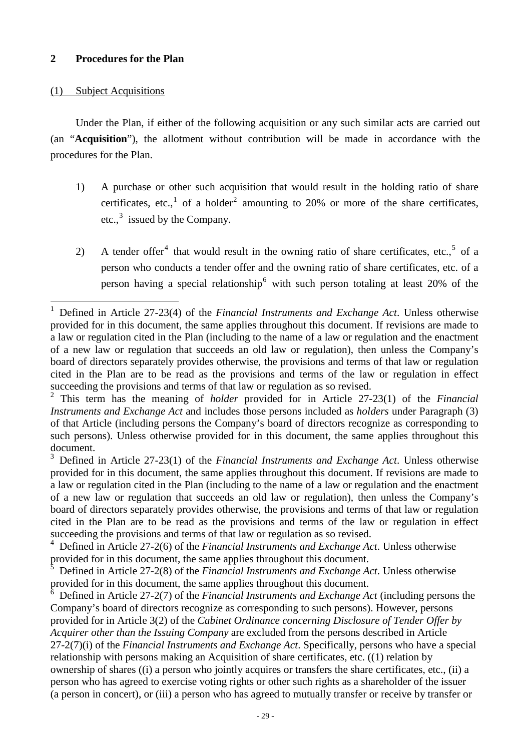## (1) Subject Acquisitions

Under the Plan, if either of the following acquisition or any such similar acts are carried out (an "**Acquisition**"), the allotment without contribution will be made in accordance with the procedures for the Plan.

- 1) A purchase or other such acquisition that would result in the holding ratio of share certificates, etc.,<sup>[1](#page-28-0)</sup> of a holder<sup>[2](#page-28-1)</sup> amounting to 20% or more of the share certificates, etc.,<sup>[3](#page-28-2)</sup> issued by the Company.
- 2) A tender offer<sup>[4](#page-28-3)</sup> that would result in the owning ratio of share certificates, etc.,  $5$  of a person who conducts a tender offer and the owning ratio of share certificates, etc. of a person having a special relationship<sup>[6](#page-28-5)</sup> with such person totaling at least 20% of the

<span id="page-28-2"></span><sup>3</sup> Defined in Article 27-23(1) of the *Financial Instruments and Exchange Act*. Unless otherwise provided for in this document, the same applies throughout this document. If revisions are made to a law or regulation cited in the Plan (including to the name of a law or regulation and the enactment of a new law or regulation that succeeds an old law or regulation), then unless the Company's board of directors separately provides otherwise, the provisions and terms of that law or regulation cited in the Plan are to be read as the provisions and terms of the law or regulation in effect succeeding the provisions and terms of that law or regulation as so revised.

<span id="page-28-3"></span><sup>4</sup> Defined in Article 27-2(6) of the *Financial Instruments and Exchange Act*. Unless otherwise provided for in this document, the same applies throughout this document.

<span id="page-28-4"></span><sup>5</sup> Defined in Article 27-2(8) of the *Financial Instruments and Exchange Act*. Unless otherwise provided for in this document, the same applies throughout this document.

<span id="page-28-5"></span><sup>6</sup> Defined in Article 27-2(7) of the *Financial Instruments and Exchange Act* (including persons the Company's board of directors recognize as corresponding to such persons). However, persons provided for in Article 3(2) of the *Cabinet Ordinance concerning Disclosure of Tender Offer by Acquirer other than the Issuing Company* are excluded from the persons described in Article 27-2(7)(i) of the *Financial Instruments and Exchange Act*. Specifically, persons who have a special relationship with persons making an Acquisition of share certificates, etc. ((1) relation by ownership of shares ((i) a person who jointly acquires or transfers the share certificates, etc., (ii) a person who has agreed to exercise voting rights or other such rights as a shareholder of the issuer (a person in concert), or (iii) a person who has agreed to mutually transfer or receive by transfer or

<span id="page-28-0"></span> <sup>1</sup> Defined in Article 27-23(4) of the *Financial Instruments and Exchange Act*. Unless otherwise provided for in this document, the same applies throughout this document. If revisions are made to a law or regulation cited in the Plan (including to the name of a law or regulation and the enactment of a new law or regulation that succeeds an old law or regulation), then unless the Company's board of directors separately provides otherwise, the provisions and terms of that law or regulation cited in the Plan are to be read as the provisions and terms of the law or regulation in effect succeeding the provisions and terms of that law or regulation as so revised.

<span id="page-28-1"></span><sup>2</sup> This term has the meaning of *holder* provided for in Article 27-23(1) of the *Financial Instruments and Exchange Act* and includes those persons included as *holders* under Paragraph (3) of that Article (including persons the Company's board of directors recognize as corresponding to such persons). Unless otherwise provided for in this document, the same applies throughout this document.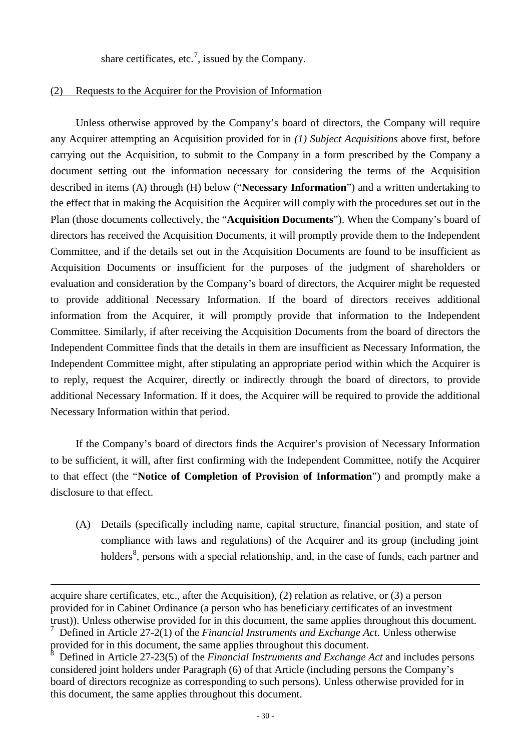share certificates, etc.<sup>[7](#page-29-0)</sup>, issued by the Company.

### (2) Requests to the Acquirer for the Provision of Information

Unless otherwise approved by the Company's board of directors, the Company will require any Acquirer attempting an Acquisition provided for in *(1) Subject Acquisitions* above first, before carrying out the Acquisition, to submit to the Company in a form prescribed by the Company a document setting out the information necessary for considering the terms of the Acquisition described in items (A) through (H) below ("**Necessary Information**") and a written undertaking to the effect that in making the Acquisition the Acquirer will comply with the procedures set out in the Plan (those documents collectively, the "**Acquisition Documents**"). When the Company's board of directors has received the Acquisition Documents, it will promptly provide them to the Independent Committee, and if the details set out in the Acquisition Documents are found to be insufficient as Acquisition Documents or insufficient for the purposes of the judgment of shareholders or evaluation and consideration by the Company's board of directors, the Acquirer might be requested to provide additional Necessary Information. If the board of directors receives additional information from the Acquirer, it will promptly provide that information to the Independent Committee. Similarly, if after receiving the Acquisition Documents from the board of directors the Independent Committee finds that the details in them are insufficient as Necessary Information, the Independent Committee might, after stipulating an appropriate period within which the Acquirer is to reply, request the Acquirer, directly or indirectly through the board of directors, to provide additional Necessary Information. If it does, the Acquirer will be required to provide the additional Necessary Information within that period.

If the Company's board of directors finds the Acquirer's provision of Necessary Information to be sufficient, it will, after first confirming with the Independent Committee, notify the Acquirer to that effect (the "**Notice of Completion of Provision of Information**") and promptly make a disclosure to that effect.

(A) Details (specifically including name, capital structure, financial position, and state of compliance with laws and regulations) of the Acquirer and its group (including joint holders<sup>[8](#page-29-1)</sup>, persons with a special relationship, and, in the case of funds, each partner and

-

acquire share certificates, etc., after the Acquisition), (2) relation as relative, or (3) a person provided for in Cabinet Ordinance (a person who has beneficiary certificates of an investment trust)). Unless otherwise provided for in this document, the same applies throughout this document.

<span id="page-29-0"></span><sup>7</sup> Defined in Article 27-2(1) of the *Financial Instruments and Exchange Act*. Unless otherwise provided for in this document, the same applies throughout this document.

<span id="page-29-1"></span><sup>8</sup> Defined in Article 27-23(5) of the *Financial Instruments and Exchange Act* and includes persons considered joint holders under Paragraph (6) of that Article (including persons the Company's board of directors recognize as corresponding to such persons). Unless otherwise provided for in this document, the same applies throughout this document.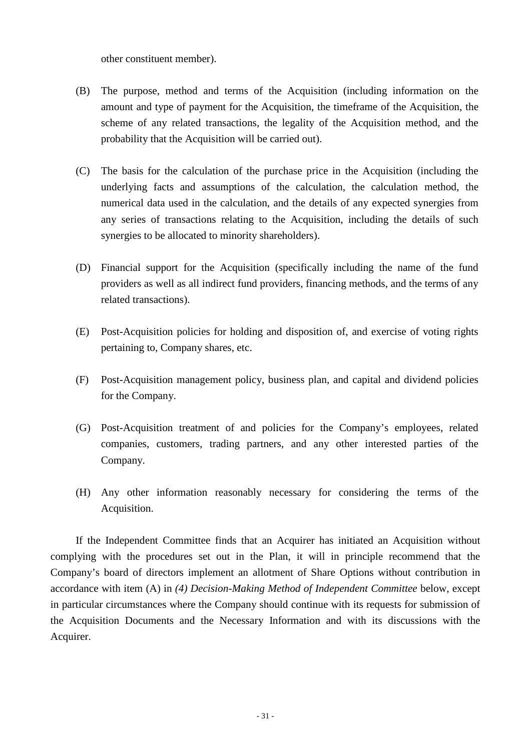other constituent member).

- (B) The purpose, method and terms of the Acquisition (including information on the amount and type of payment for the Acquisition, the timeframe of the Acquisition, the scheme of any related transactions, the legality of the Acquisition method, and the probability that the Acquisition will be carried out).
- (C) The basis for the calculation of the purchase price in the Acquisition (including the underlying facts and assumptions of the calculation, the calculation method, the numerical data used in the calculation, and the details of any expected synergies from any series of transactions relating to the Acquisition, including the details of such synergies to be allocated to minority shareholders).
- (D) Financial support for the Acquisition (specifically including the name of the fund providers as well as all indirect fund providers, financing methods, and the terms of any related transactions).
- (E) Post-Acquisition policies for holding and disposition of, and exercise of voting rights pertaining to, Company shares, etc.
- (F) Post-Acquisition management policy, business plan, and capital and dividend policies for the Company.
- (G) Post-Acquisition treatment of and policies for the Company's employees, related companies, customers, trading partners, and any other interested parties of the Company.
- (H) Any other information reasonably necessary for considering the terms of the Acquisition.

If the Independent Committee finds that an Acquirer has initiated an Acquisition without complying with the procedures set out in the Plan, it will in principle recommend that the Company's board of directors implement an allotment of Share Options without contribution in accordance with item (A) in *(4) Decision-Making Method of Independent Committee* below, except in particular circumstances where the Company should continue with its requests for submission of the Acquisition Documents and the Necessary Information and with its discussions with the Acquirer.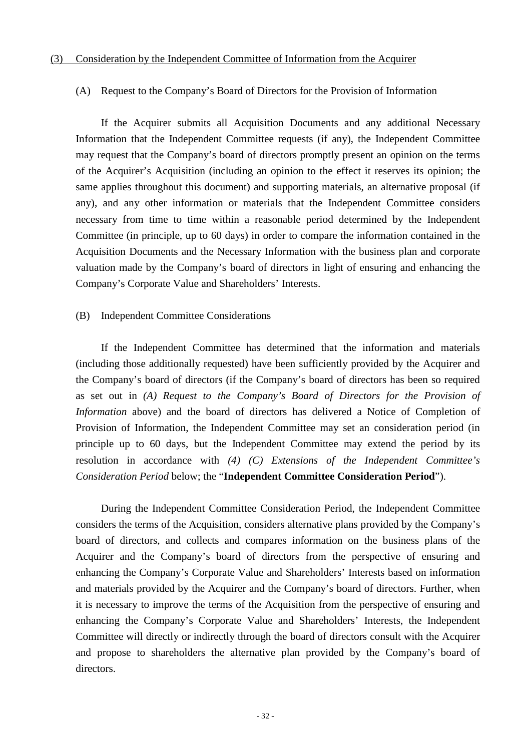#### (A) Request to the Company's Board of Directors for the Provision of Information

If the Acquirer submits all Acquisition Documents and any additional Necessary Information that the Independent Committee requests (if any), the Independent Committee may request that the Company's board of directors promptly present an opinion on the terms of the Acquirer's Acquisition (including an opinion to the effect it reserves its opinion; the same applies throughout this document) and supporting materials, an alternative proposal (if any), and any other information or materials that the Independent Committee considers necessary from time to time within a reasonable period determined by the Independent Committee (in principle, up to 60 days) in order to compare the information contained in the Acquisition Documents and the Necessary Information with the business plan and corporate valuation made by the Company's board of directors in light of ensuring and enhancing the Company's Corporate Value and Shareholders' Interests.

#### (B) Independent Committee Considerations

If the Independent Committee has determined that the information and materials (including those additionally requested) have been sufficiently provided by the Acquirer and the Company's board of directors (if the Company's board of directors has been so required as set out in *(A) Request to the Company's Board of Directors for the Provision of Information* above) and the board of directors has delivered a Notice of Completion of Provision of Information, the Independent Committee may set an consideration period (in principle up to 60 days, but the Independent Committee may extend the period by its resolution in accordance with *(4) (C) Extensions of the Independent Committee's Consideration Period* below; the "**Independent Committee Consideration Period**").

During the Independent Committee Consideration Period, the Independent Committee considers the terms of the Acquisition, considers alternative plans provided by the Company's board of directors, and collects and compares information on the business plans of the Acquirer and the Company's board of directors from the perspective of ensuring and enhancing the Company's Corporate Value and Shareholders' Interests based on information and materials provided by the Acquirer and the Company's board of directors. Further, when it is necessary to improve the terms of the Acquisition from the perspective of ensuring and enhancing the Company's Corporate Value and Shareholders' Interests, the Independent Committee will directly or indirectly through the board of directors consult with the Acquirer and propose to shareholders the alternative plan provided by the Company's board of directors.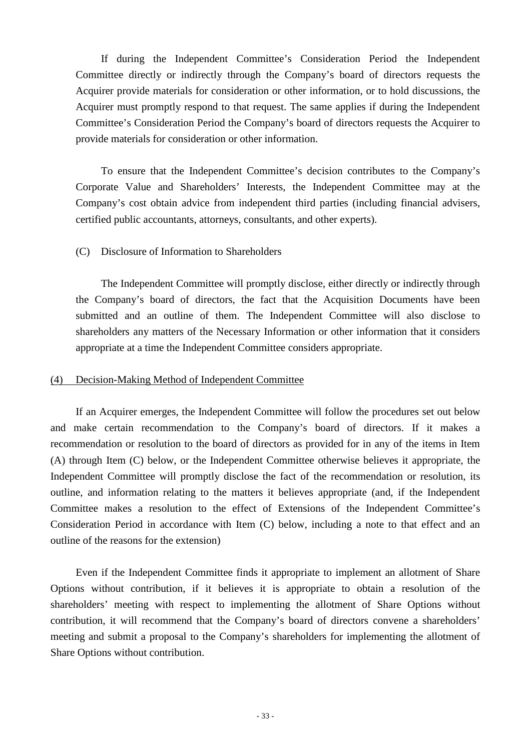If during the Independent Committee's Consideration Period the Independent Committee directly or indirectly through the Company's board of directors requests the Acquirer provide materials for consideration or other information, or to hold discussions, the Acquirer must promptly respond to that request. The same applies if during the Independent Committee's Consideration Period the Company's board of directors requests the Acquirer to provide materials for consideration or other information.

To ensure that the Independent Committee's decision contributes to the Company's Corporate Value and Shareholders' Interests, the Independent Committee may at the Company's cost obtain advice from independent third parties (including financial advisers, certified public accountants, attorneys, consultants, and other experts).

## (C) Disclosure of Information to Shareholders

The Independent Committee will promptly disclose, either directly or indirectly through the Company's board of directors, the fact that the Acquisition Documents have been submitted and an outline of them. The Independent Committee will also disclose to shareholders any matters of the Necessary Information or other information that it considers appropriate at a time the Independent Committee considers appropriate.

#### (4) Decision-Making Method of Independent Committee

If an Acquirer emerges, the Independent Committee will follow the procedures set out below and make certain recommendation to the Company's board of directors. If it makes a recommendation or resolution to the board of directors as provided for in any of the items in Item (A) through Item (C) below, or the Independent Committee otherwise believes it appropriate, the Independent Committee will promptly disclose the fact of the recommendation or resolution, its outline, and information relating to the matters it believes appropriate (and, if the Independent Committee makes a resolution to the effect of Extensions of the Independent Committee's Consideration Period in accordance with Item (C) below, including a note to that effect and an outline of the reasons for the extension)

Even if the Independent Committee finds it appropriate to implement an allotment of Share Options without contribution, if it believes it is appropriate to obtain a resolution of the shareholders' meeting with respect to implementing the allotment of Share Options without contribution, it will recommend that the Company's board of directors convene a shareholders' meeting and submit a proposal to the Company's shareholders for implementing the allotment of Share Options without contribution.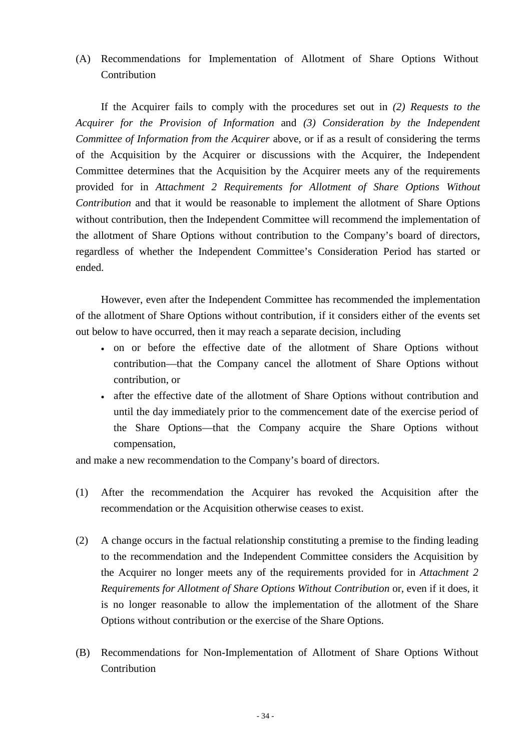(A) Recommendations for Implementation of Allotment of Share Options Without **Contribution** 

If the Acquirer fails to comply with the procedures set out in *(2) Requests to the Acquirer for the Provision of Information* and *(3) Consideration by the Independent Committee of Information from the Acquirer* above, or if as a result of considering the terms of the Acquisition by the Acquirer or discussions with the Acquirer, the Independent Committee determines that the Acquisition by the Acquirer meets any of the requirements provided for in *Attachment 2 Requirements for Allotment of Share Options Without Contribution* and that it would be reasonable to implement the allotment of Share Options without contribution, then the Independent Committee will recommend the implementation of the allotment of Share Options without contribution to the Company's board of directors, regardless of whether the Independent Committee's Consideration Period has started or ended.

However, even after the Independent Committee has recommended the implementation of the allotment of Share Options without contribution, if it considers either of the events set out below to have occurred, then it may reach a separate decision, including

- on or before the effective date of the allotment of Share Options without contribution—that the Company cancel the allotment of Share Options without contribution, or
- after the effective date of the allotment of Share Options without contribution and until the day immediately prior to the commencement date of the exercise period of the Share Options—that the Company acquire the Share Options without compensation,

and make a new recommendation to the Company's board of directors.

- (1) After the recommendation the Acquirer has revoked the Acquisition after the recommendation or the Acquisition otherwise ceases to exist.
- (2) A change occurs in the factual relationship constituting a premise to the finding leading to the recommendation and the Independent Committee considers the Acquisition by the Acquirer no longer meets any of the requirements provided for in *Attachment 2 Requirements for Allotment of Share Options Without Contribution* or, even if it does, it is no longer reasonable to allow the implementation of the allotment of the Share Options without contribution or the exercise of the Share Options.
- (B) Recommendations for Non-Implementation of Allotment of Share Options Without Contribution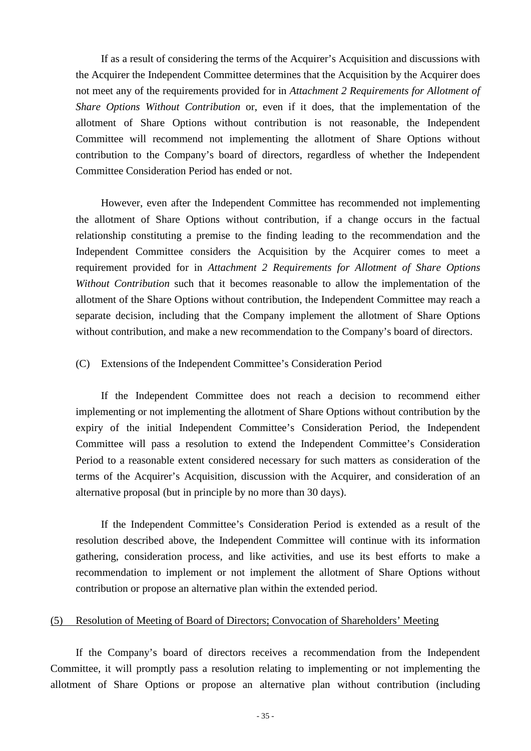If as a result of considering the terms of the Acquirer's Acquisition and discussions with the Acquirer the Independent Committee determines that the Acquisition by the Acquirer does not meet any of the requirements provided for in *Attachment 2 Requirements for Allotment of Share Options Without Contribution* or, even if it does, that the implementation of the allotment of Share Options without contribution is not reasonable, the Independent Committee will recommend not implementing the allotment of Share Options without contribution to the Company's board of directors, regardless of whether the Independent Committee Consideration Period has ended or not.

However, even after the Independent Committee has recommended not implementing the allotment of Share Options without contribution, if a change occurs in the factual relationship constituting a premise to the finding leading to the recommendation and the Independent Committee considers the Acquisition by the Acquirer comes to meet a requirement provided for in *Attachment 2 Requirements for Allotment of Share Options Without Contribution* such that it becomes reasonable to allow the implementation of the allotment of the Share Options without contribution, the Independent Committee may reach a separate decision, including that the Company implement the allotment of Share Options without contribution, and make a new recommendation to the Company's board of directors.

#### (C) Extensions of the Independent Committee's Consideration Period

If the Independent Committee does not reach a decision to recommend either implementing or not implementing the allotment of Share Options without contribution by the expiry of the initial Independent Committee's Consideration Period, the Independent Committee will pass a resolution to extend the Independent Committee's Consideration Period to a reasonable extent considered necessary for such matters as consideration of the terms of the Acquirer's Acquisition, discussion with the Acquirer, and consideration of an alternative proposal (but in principle by no more than 30 days).

If the Independent Committee's Consideration Period is extended as a result of the resolution described above, the Independent Committee will continue with its information gathering, consideration process, and like activities, and use its best efforts to make a recommendation to implement or not implement the allotment of Share Options without contribution or propose an alternative plan within the extended period.

### (5) Resolution of Meeting of Board of Directors; Convocation of Shareholders' Meeting

If the Company's board of directors receives a recommendation from the Independent Committee, it will promptly pass a resolution relating to implementing or not implementing the allotment of Share Options or propose an alternative plan without contribution (including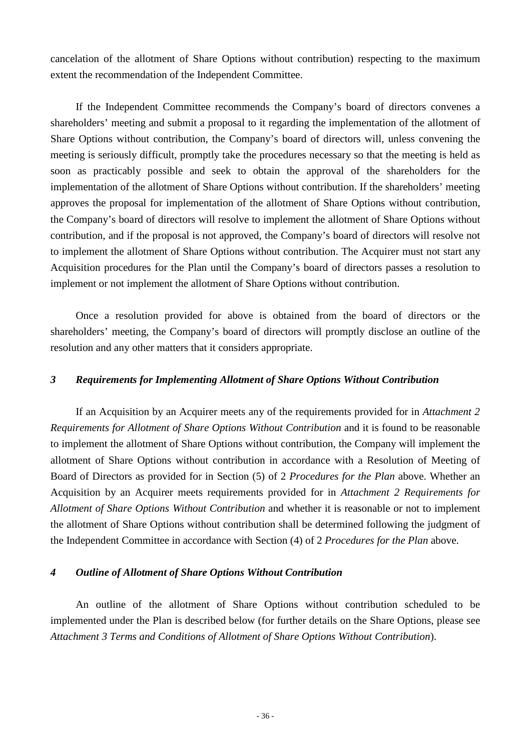cancelation of the allotment of Share Options without contribution) respecting to the maximum extent the recommendation of the Independent Committee.

If the Independent Committee recommends the Company's board of directors convenes a shareholders' meeting and submit a proposal to it regarding the implementation of the allotment of Share Options without contribution, the Company's board of directors will, unless convening the meeting is seriously difficult, promptly take the procedures necessary so that the meeting is held as soon as practicably possible and seek to obtain the approval of the shareholders for the implementation of the allotment of Share Options without contribution. If the shareholders' meeting approves the proposal for implementation of the allotment of Share Options without contribution, the Company's board of directors will resolve to implement the allotment of Share Options without contribution, and if the proposal is not approved, the Company's board of directors will resolve not to implement the allotment of Share Options without contribution. The Acquirer must not start any Acquisition procedures for the Plan until the Company's board of directors passes a resolution to implement or not implement the allotment of Share Options without contribution.

Once a resolution provided for above is obtained from the board of directors or the shareholders' meeting, the Company's board of directors will promptly disclose an outline of the resolution and any other matters that it considers appropriate.

### *3 Requirements for Implementing Allotment of Share Options Without Contribution*

If an Acquisition by an Acquirer meets any of the requirements provided for in *Attachment 2 Requirements for Allotment of Share Options Without Contribution* and it is found to be reasonable to implement the allotment of Share Options without contribution, the Company will implement the allotment of Share Options without contribution in accordance with a Resolution of Meeting of Board of Directors as provided for in Section (5) of 2 *Procedures for the Plan* above. Whether an Acquisition by an Acquirer meets requirements provided for in *Attachment 2 Requirements for Allotment of Share Options Without Contribution* and whether it is reasonable or not to implement the allotment of Share Options without contribution shall be determined following the judgment of the Independent Committee in accordance with Section (4) of 2 *Procedures for the Plan* above.

### *4 Outline of Allotment of Share Options Without Contribution*

An outline of the allotment of Share Options without contribution scheduled to be implemented under the Plan is described below (for further details on the Share Options, please see *Attachment 3 Terms and Conditions of Allotment of Share Options Without Contribution*).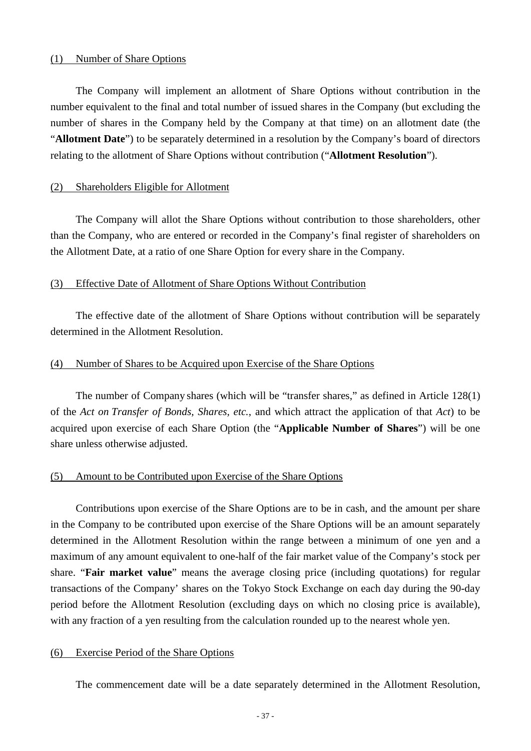#### (1) Number of Share Options

The Company will implement an allotment of Share Options without contribution in the number equivalent to the final and total number of issued shares in the Company (but excluding the number of shares in the Company held by the Company at that time) on an allotment date (the "**Allotment Date**") to be separately determined in a resolution by the Company's board of directors relating to the allotment of Share Options without contribution ("**Allotment Resolution**").

#### (2) Shareholders Eligible for Allotment

The Company will allot the Share Options without contribution to those shareholders, other than the Company, who are entered or recorded in the Company's final register of shareholders on the Allotment Date, at a ratio of one Share Option for every share in the Company.

#### (3) Effective Date of Allotment of Share Options Without Contribution

The effective date of the allotment of Share Options without contribution will be separately determined in the Allotment Resolution.

#### (4) Number of Shares to be Acquired upon Exercise of the Share Options

The number of Company shares (which will be "transfer shares," as defined in Article 128(1) of the *Act on Transfer of Bonds, Shares, etc.*, and which attract the application of that *Act*) to be acquired upon exercise of each Share Option (the "**Applicable Number of Shares**") will be one share unless otherwise adjusted.

#### (5) Amount to be Contributed upon Exercise of the Share Options

Contributions upon exercise of the Share Options are to be in cash, and the amount per share in the Company to be contributed upon exercise of the Share Options will be an amount separately determined in the Allotment Resolution within the range between a minimum of one yen and a maximum of any amount equivalent to one-half of the fair market value of the Company's stock per share. "**Fair market value**" means the average closing price (including quotations) for regular transactions of the Company' shares on the Tokyo Stock Exchange on each day during the 90-day period before the Allotment Resolution (excluding days on which no closing price is available), with any fraction of a yen resulting from the calculation rounded up to the nearest whole yen.

#### (6) Exercise Period of the Share Options

The commencement date will be a date separately determined in the Allotment Resolution,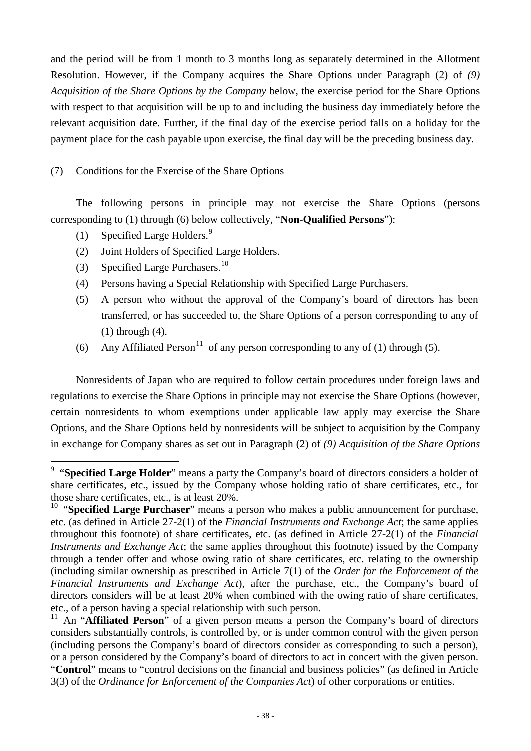and the period will be from 1 month to 3 months long as separately determined in the Allotment Resolution. However, if the Company acquires the Share Options under Paragraph (2) of *(9) Acquisition of the Share Options by the Company* below, the exercise period for the Share Options with respect to that acquisition will be up to and including the business day immediately before the relevant acquisition date. Further, if the final day of the exercise period falls on a holiday for the payment place for the cash payable upon exercise, the final day will be the preceding business day.

## (7) Conditions for the Exercise of the Share Options

The following persons in principle may not exercise the Share Options (persons corresponding to (1) through (6) below collectively, "**Non-Qualified Persons**"):

- (1) Specified Large Holders. [9](#page-37-0)
- (2) Joint Holders of Specified Large Holders.
- (3) Specified Large Purchasers.<sup>[10](#page-37-1)</sup>
- (4) Persons having a Special Relationship with Specified Large Purchasers.
- (5) A person who without the approval of the Company's board of directors has been transferred, or has succeeded to, the Share Options of a person corresponding to any of (1) through (4).
- (6) Any Affiliated Person<sup>[11](#page-37-2)</sup> of any person corresponding to any of (1) through (5).

Nonresidents of Japan who are required to follow certain procedures under foreign laws and regulations to exercise the Share Options in principle may not exercise the Share Options (however, certain nonresidents to whom exemptions under applicable law apply may exercise the Share Options, and the Share Options held by nonresidents will be subject to acquisition by the Company in exchange for Company shares as set out in Paragraph (2) of *(9) Acquisition of the Share Options*

<span id="page-37-0"></span><sup>&</sup>lt;sup>9</sup> "Specified Large Holder" means a party the Company's board of directors considers a holder of share certificates, etc., issued by the Company whose holding ratio of share certificates, etc., for those share certificates, etc., is at least 20%.

<span id="page-37-1"></span><sup>&</sup>lt;sup>10</sup> "Specified Large Purchaser" means a person who makes a public announcement for purchase, etc. (as defined in Article 27-2(1) of the *Financial Instruments and Exchange Act*; the same applies throughout this footnote) of share certificates, etc. (as defined in Article 27-2(1) of the *Financial Instruments and Exchange Act*; the same applies throughout this footnote) issued by the Company through a tender offer and whose owing ratio of share certificates, etc. relating to the ownership (including similar ownership as prescribed in Article 7(1) of the *Order for the Enforcement of the Financial Instruments and Exchange Act*), after the purchase, etc., the Company's board of directors considers will be at least 20% when combined with the owing ratio of share certificates, etc., of a person having a special relationship with such person. <sup>11</sup> An "**Affiliated Person**" of a given person means a person the Company's board of directors

<span id="page-37-2"></span>considers substantially controls, is controlled by, or is under common control with the given person (including persons the Company's board of directors consider as corresponding to such a person), or a person considered by the Company's board of directors to act in concert with the given person. "**Control**" means to "control decisions on the financial and business policies" (as defined in Article 3(3) of the *Ordinance for Enforcement of the Companies Act*) of other corporations or entities.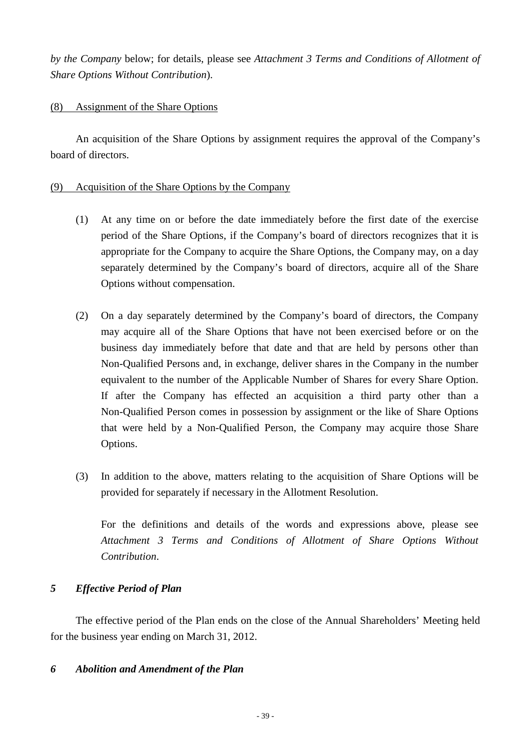*by the Company* below; for details, please see *Attachment 3 Terms and Conditions of Allotment of Share Options Without Contribution*).

## (8) Assignment of the Share Options

An acquisition of the Share Options by assignment requires the approval of the Company's board of directors.

## (9) Acquisition of the Share Options by the Company

- (1) At any time on or before the date immediately before the first date of the exercise period of the Share Options, if the Company's board of directors recognizes that it is appropriate for the Company to acquire the Share Options, the Company may, on a day separately determined by the Company's board of directors, acquire all of the Share Options without compensation.
- (2) On a day separately determined by the Company's board of directors, the Company may acquire all of the Share Options that have not been exercised before or on the business day immediately before that date and that are held by persons other than Non-Qualified Persons and, in exchange, deliver shares in the Company in the number equivalent to the number of the Applicable Number of Shares for every Share Option. If after the Company has effected an acquisition a third party other than a Non-Qualified Person comes in possession by assignment or the like of Share Options that were held by a Non-Qualified Person, the Company may acquire those Share Options.
- (3) In addition to the above, matters relating to the acquisition of Share Options will be provided for separately if necessary in the Allotment Resolution.

For the definitions and details of the words and expressions above, please see *Attachment 3 Terms and Conditions of Allotment of Share Options Without Contribution*.

## *5 Effective Period of Plan*

The effective period of the Plan ends on the close of the Annual Shareholders' Meeting held for the business year ending on March 31, 2012.

## *6 Abolition and Amendment of the Plan*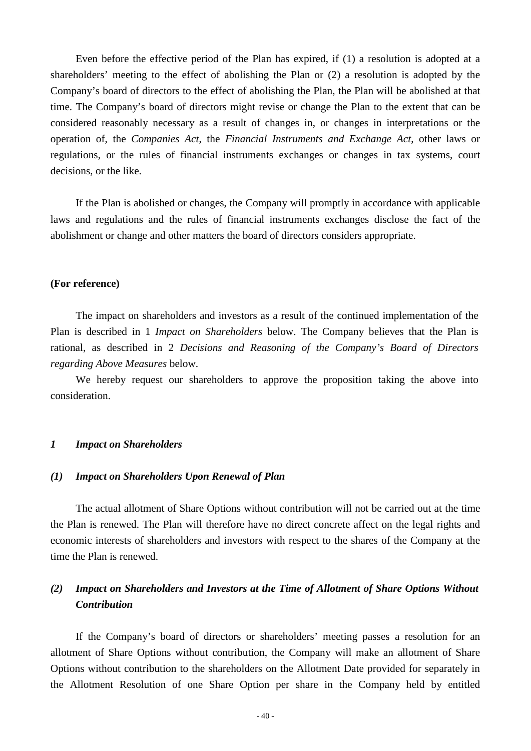Even before the effective period of the Plan has expired, if (1) a resolution is adopted at a shareholders' meeting to the effect of abolishing the Plan or (2) a resolution is adopted by the Company's board of directors to the effect of abolishing the Plan, the Plan will be abolished at that time. The Company's board of directors might revise or change the Plan to the extent that can be considered reasonably necessary as a result of changes in, or changes in interpretations or the operation of, the *Companies Act*, the *Financial Instruments and Exchange Act*, other laws or regulations, or the rules of financial instruments exchanges or changes in tax systems, court decisions, or the like.

If the Plan is abolished or changes, the Company will promptly in accordance with applicable laws and regulations and the rules of financial instruments exchanges disclose the fact of the abolishment or change and other matters the board of directors considers appropriate.

#### **(For reference)**

The impact on shareholders and investors as a result of the continued implementation of the Plan is described in 1 *Impact on Shareholders* below. The Company believes that the Plan is rational, as described in 2 *Decisions and Reasoning of the Company's Board of Directors regarding Above Measures* below.

We hereby request our shareholders to approve the proposition taking the above into consideration.

#### *1 Impact on Shareholders*

#### *(1) Impact on Shareholders Upon Renewal of Plan*

The actual allotment of Share Options without contribution will not be carried out at the time the Plan is renewed. The Plan will therefore have no direct concrete affect on the legal rights and economic interests of shareholders and investors with respect to the shares of the Company at the time the Plan is renewed.

## *(2) Impact on Shareholders and Investors at the Time of Allotment of Share Options Without Contribution*

If the Company's board of directors or shareholders' meeting passes a resolution for an allotment of Share Options without contribution, the Company will make an allotment of Share Options without contribution to the shareholders on the Allotment Date provided for separately in the Allotment Resolution of one Share Option per share in the Company held by entitled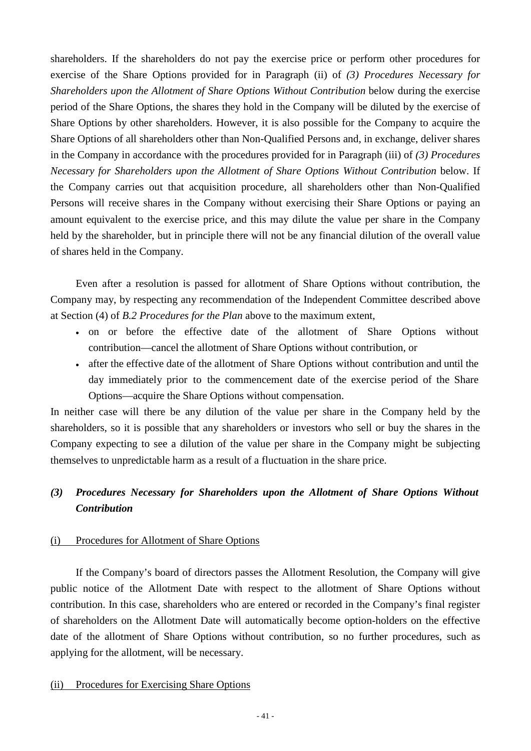shareholders. If the shareholders do not pay the exercise price or perform other procedures for exercise of the Share Options provided for in Paragraph (ii) of *(3) Procedures Necessary for Shareholders upon the Allotment of Share Options Without Contribution* below during the exercise period of the Share Options, the shares they hold in the Company will be diluted by the exercise of Share Options by other shareholders. However, it is also possible for the Company to acquire the Share Options of all shareholders other than Non-Qualified Persons and, in exchange, deliver shares in the Company in accordance with the procedures provided for in Paragraph (iii) of *(3) Procedures Necessary for Shareholders upon the Allotment of Share Options Without Contribution* below. If the Company carries out that acquisition procedure, all shareholders other than Non-Qualified Persons will receive shares in the Company without exercising their Share Options or paying an amount equivalent to the exercise price, and this may dilute the value per share in the Company held by the shareholder, but in principle there will not be any financial dilution of the overall value of shares held in the Company.

Even after a resolution is passed for allotment of Share Options without contribution, the Company may, by respecting any recommendation of the Independent Committee described above at Section (4) of *B.2 Procedures for the Plan* above to the maximum extent,

- on or before the effective date of the allotment of Share Options without contribution—cancel the allotment of Share Options without contribution, or
- after the effective date of the allotment of Share Options without contribution and until the day immediately prior to the commencement date of the exercise period of the Share Options—acquire the Share Options without compensation.

In neither case will there be any dilution of the value per share in the Company held by the shareholders, so it is possible that any shareholders or investors who sell or buy the shares in the Company expecting to see a dilution of the value per share in the Company might be subjecting themselves to unpredictable harm as a result of a fluctuation in the share price.

# *(3) Procedures Necessary for Shareholders upon the Allotment of Share Options Without Contribution*

### (i) Procedures for Allotment of Share Options

If the Company's board of directors passes the Allotment Resolution, the Company will give public notice of the Allotment Date with respect to the allotment of Share Options without contribution. In this case, shareholders who are entered or recorded in the Company's final register of shareholders on the Allotment Date will automatically become option-holders on the effective date of the allotment of Share Options without contribution, so no further procedures, such as applying for the allotment, will be necessary.

### (ii) Procedures for Exercising Share Options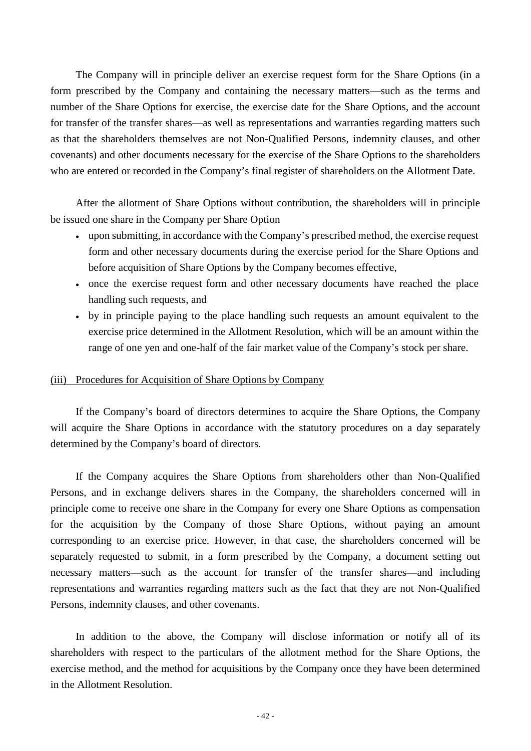The Company will in principle deliver an exercise request form for the Share Options (in a form prescribed by the Company and containing the necessary matters—such as the terms and number of the Share Options for exercise, the exercise date for the Share Options, and the account for transfer of the transfer shares—as well as representations and warranties regarding matters such as that the shareholders themselves are not Non-Qualified Persons, indemnity clauses, and other covenants) and other documents necessary for the exercise of the Share Options to the shareholders who are entered or recorded in the Company's final register of shareholders on the Allotment Date.

After the allotment of Share Options without contribution, the shareholders will in principle be issued one share in the Company per Share Option

- upon submitting, in accordance with the Company's prescribed method, the exercise request form and other necessary documents during the exercise period for the Share Options and before acquisition of Share Options by the Company becomes effective,
- once the exercise request form and other necessary documents have reached the place handling such requests, and
- by in principle paying to the place handling such requests an amount equivalent to the exercise price determined in the Allotment Resolution, which will be an amount within the range of one yen and one-half of the fair market value of the Company's stock per share.

#### (iii) Procedures for Acquisition of Share Options by Company

If the Company's board of directors determines to acquire the Share Options, the Company will acquire the Share Options in accordance with the statutory procedures on a day separately determined by the Company's board of directors.

If the Company acquires the Share Options from shareholders other than Non-Qualified Persons, and in exchange delivers shares in the Company, the shareholders concerned will in principle come to receive one share in the Company for every one Share Options as compensation for the acquisition by the Company of those Share Options, without paying an amount corresponding to an exercise price. However, in that case, the shareholders concerned will be separately requested to submit, in a form prescribed by the Company, a document setting out necessary matters—such as the account for transfer of the transfer shares—and including representations and warranties regarding matters such as the fact that they are not Non-Qualified Persons, indemnity clauses, and other covenants.

In addition to the above, the Company will disclose information or notify all of its shareholders with respect to the particulars of the allotment method for the Share Options, the exercise method, and the method for acquisitions by the Company once they have been determined in the Allotment Resolution.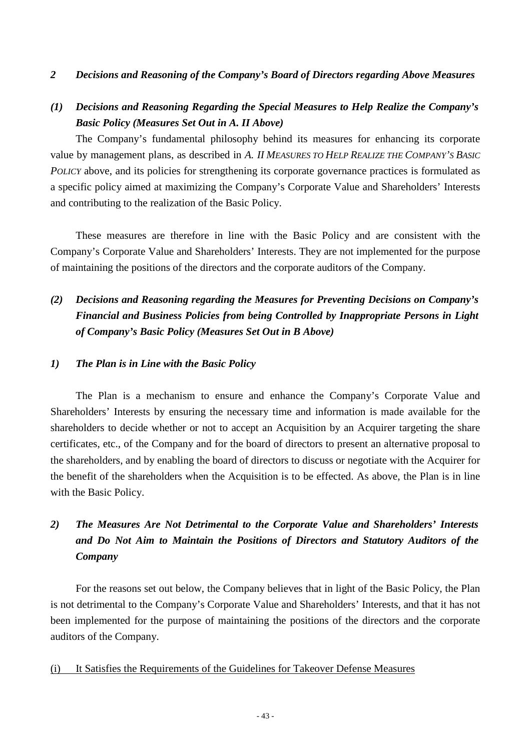### *2 Decisions and Reasoning of the Company's Board of Directors regarding Above Measures*

## *(1) Decisions and Reasoning Regarding the Special Measures to Help Realize the Company's Basic Policy (Measures Set Out in A. II Above)*

The Company's fundamental philosophy behind its measures for enhancing its corporate value by management plans, as described in *A. II MEASURES TO HELP REALIZE THE COMPANY'S BASIC POLICY* above, and its policies for strengthening its corporate governance practices is formulated as a specific policy aimed at maximizing the Company's Corporate Value and Shareholders' Interests and contributing to the realization of the Basic Policy.

These measures are therefore in line with the Basic Policy and are consistent with the Company's Corporate Value and Shareholders' Interests. They are not implemented for the purpose of maintaining the positions of the directors and the corporate auditors of the Company.

# *(2) Decisions and Reasoning regarding the Measures for Preventing Decisions on Company's Financial and Business Policies from being Controlled by Inappropriate Persons in Light of Company's Basic Policy (Measures Set Out in B Above)*

### *1) The Plan is in Line with the Basic Policy*

The Plan is a mechanism to ensure and enhance the Company's Corporate Value and Shareholders' Interests by ensuring the necessary time and information is made available for the shareholders to decide whether or not to accept an Acquisition by an Acquirer targeting the share certificates, etc., of the Company and for the board of directors to present an alternative proposal to the shareholders, and by enabling the board of directors to discuss or negotiate with the Acquirer for the benefit of the shareholders when the Acquisition is to be effected. As above, the Plan is in line with the Basic Policy.

# *2) The Measures Are Not Detrimental to the Corporate Value and Shareholders' Interests and Do Not Aim to Maintain the Positions of Directors and Statutory Auditors of the Company*

For the reasons set out below, the Company believes that in light of the Basic Policy, the Plan is not detrimental to the Company's Corporate Value and Shareholders' Interests, and that it has not been implemented for the purpose of maintaining the positions of the directors and the corporate auditors of the Company.

#### (i) It Satisfies the Requirements of the Guidelines for Takeover Defense Measures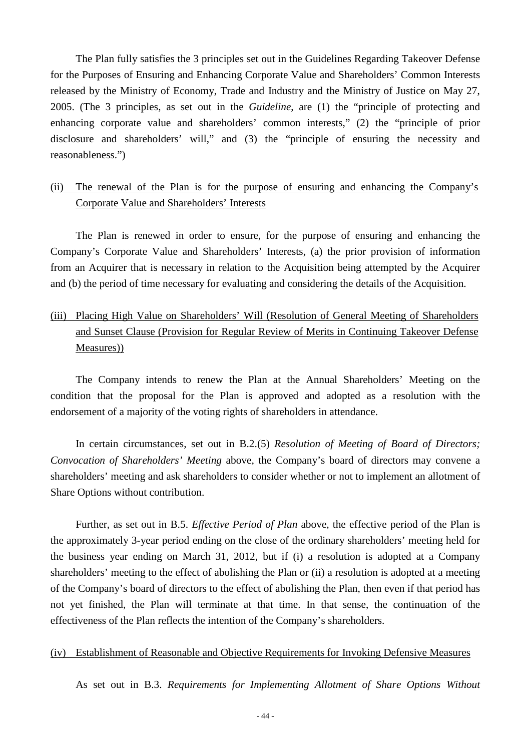The Plan fully satisfies the 3 principles set out in the Guidelines Regarding Takeover Defense for the Purposes of Ensuring and Enhancing Corporate Value and Shareholders' Common Interests released by the Ministry of Economy, Trade and Industry and the Ministry of Justice on May 27, 2005. (The 3 principles, as set out in the *Guideline*, are (1) the "principle of protecting and enhancing corporate value and shareholders' common interests," (2) the "principle of prior disclosure and shareholders' will," and (3) the "principle of ensuring the necessity and reasonableness.")

## (ii) The renewal of the Plan is for the purpose of ensuring and enhancing the Company's Corporate Value and Shareholders' Interests

The Plan is renewed in order to ensure, for the purpose of ensuring and enhancing the Company's Corporate Value and Shareholders' Interests, (a) the prior provision of information from an Acquirer that is necessary in relation to the Acquisition being attempted by the Acquirer and (b) the period of time necessary for evaluating and considering the details of the Acquisition.

# (iii) Placing High Value on Shareholders' Will (Resolution of General Meeting of Shareholders and Sunset Clause (Provision for Regular Review of Merits in Continuing Takeover Defense Measures))

The Company intends to renew the Plan at the Annual Shareholders' Meeting on the condition that the proposal for the Plan is approved and adopted as a resolution with the endorsement of a majority of the voting rights of shareholders in attendance.

In certain circumstances, set out in B.2.(5) *Resolution of Meeting of Board of Directors; Convocation of Shareholders' Meeting* above, the Company's board of directors may convene a shareholders' meeting and ask shareholders to consider whether or not to implement an allotment of Share Options without contribution.

Further, as set out in B.5. *Effective Period of Plan* above, the effective period of the Plan is the approximately 3-year period ending on the close of the ordinary shareholders' meeting held for the business year ending on March 31, 2012, but if (i) a resolution is adopted at a Company shareholders' meeting to the effect of abolishing the Plan or (ii) a resolution is adopted at a meeting of the Company's board of directors to the effect of abolishing the Plan, then even if that period has not yet finished, the Plan will terminate at that time. In that sense, the continuation of the effectiveness of the Plan reflects the intention of the Company's shareholders.

#### (iv) Establishment of Reasonable and Objective Requirements for Invoking Defensive Measures

As set out in B.3. *Requirements for Implementing Allotment of Share Options Without*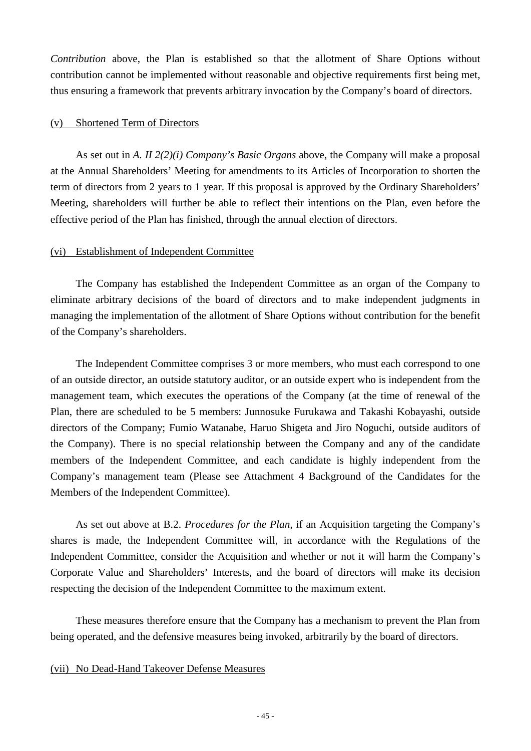*Contribution* above, the Plan is established so that the allotment of Share Options without contribution cannot be implemented without reasonable and objective requirements first being met, thus ensuring a framework that prevents arbitrary invocation by the Company's board of directors.

### (v) Shortened Term of Directors

As set out in *A. II 2(2)(i) Company's Basic Organs* above, the Company will make a proposal at the Annual Shareholders' Meeting for amendments to its Articles of Incorporation to shorten the term of directors from 2 years to 1 year. If this proposal is approved by the Ordinary Shareholders' Meeting, shareholders will further be able to reflect their intentions on the Plan, even before the effective period of the Plan has finished, through the annual election of directors.

### (vi) Establishment of Independent Committee

The Company has established the Independent Committee as an organ of the Company to eliminate arbitrary decisions of the board of directors and to make independent judgments in managing the implementation of the allotment of Share Options without contribution for the benefit of the Company's shareholders.

The Independent Committee comprises 3 or more members, who must each correspond to one of an outside director, an outside statutory auditor, or an outside expert who is independent from the management team, which executes the operations of the Company (at the time of renewal of the Plan, there are scheduled to be 5 members: Junnosuke Furukawa and Takashi Kobayashi, outside directors of the Company; Fumio Watanabe, Haruo Shigeta and Jiro Noguchi, outside auditors of the Company). There is no special relationship between the Company and any of the candidate members of the Independent Committee, and each candidate is highly independent from the Company's management team (Please see Attachment 4 Background of the Candidates for the Members of the Independent Committee).

As set out above at B.2. *Procedures for the Plan*, if an Acquisition targeting the Company's shares is made, the Independent Committee will, in accordance with the Regulations of the Independent Committee, consider the Acquisition and whether or not it will harm the Company's Corporate Value and Shareholders' Interests, and the board of directors will make its decision respecting the decision of the Independent Committee to the maximum extent.

These measures therefore ensure that the Company has a mechanism to prevent the Plan from being operated, and the defensive measures being invoked, arbitrarily by the board of directors.

#### (vii) No Dead-Hand Takeover Defense Measures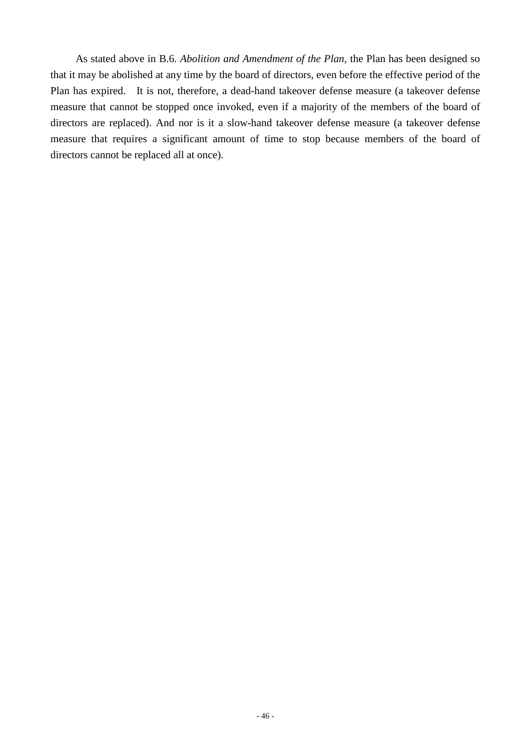As stated above in B.6. *Abolition and Amendment of the Plan*, the Plan has been designed so that it may be abolished at any time by the board of directors, even before the effective period of the Plan has expired. It is not, therefore, a dead-hand takeover defense measure (a takeover defense measure that cannot be stopped once invoked, even if a majority of the members of the board of directors are replaced). And nor is it a slow-hand takeover defense measure (a takeover defense measure that requires a significant amount of time to stop because members of the board of directors cannot be replaced all at once).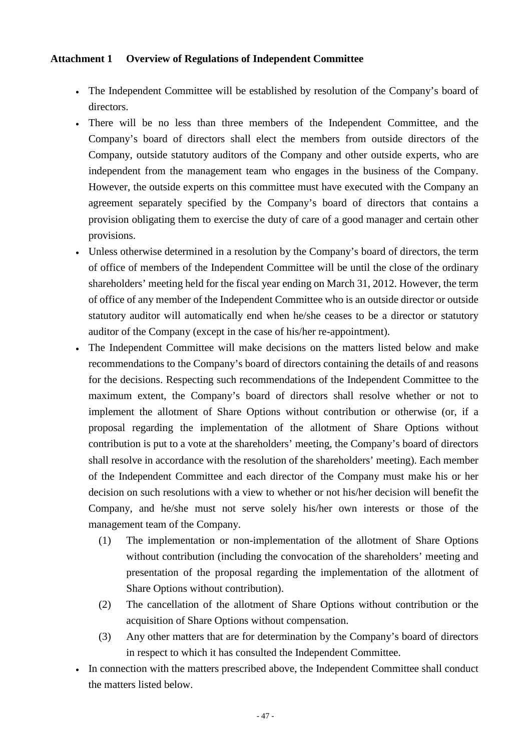## **Attachment 1 Overview of Regulations of Independent Committee**

- The Independent Committee will be established by resolution of the Company's board of directors.
- There will be no less than three members of the Independent Committee, and the Company's board of directors shall elect the members from outside directors of the Company, outside statutory auditors of the Company and other outside experts, who are independent from the management team who engages in the business of the Company. However, the outside experts on this committee must have executed with the Company an agreement separately specified by the Company's board of directors that contains a provision obligating them to exercise the duty of care of a good manager and certain other provisions.
- Unless otherwise determined in a resolution by the Company's board of directors, the term of office of members of the Independent Committee will be until the close of the ordinary shareholders' meeting held for the fiscal year ending on March 31, 2012. However, the term of office of any member of the Independent Committee who is an outside director or outside statutory auditor will automatically end when he/she ceases to be a director or statutory auditor of the Company (except in the case of his/her re-appointment).
- The Independent Committee will make decisions on the matters listed below and make recommendations to the Company's board of directors containing the details of and reasons for the decisions. Respecting such recommendations of the Independent Committee to the maximum extent, the Company's board of directors shall resolve whether or not to implement the allotment of Share Options without contribution or otherwise (or, if a proposal regarding the implementation of the allotment of Share Options without contribution is put to a vote at the shareholders' meeting, the Company's board of directors shall resolve in accordance with the resolution of the shareholders' meeting). Each member of the Independent Committee and each director of the Company must make his or her decision on such resolutions with a view to whether or not his/her decision will benefit the Company, and he/she must not serve solely his/her own interests or those of the management team of the Company.
	- (1) The implementation or non-implementation of the allotment of Share Options without contribution (including the convocation of the shareholders' meeting and presentation of the proposal regarding the implementation of the allotment of Share Options without contribution).
	- (2) The cancellation of the allotment of Share Options without contribution or the acquisition of Share Options without compensation.
	- (3) Any other matters that are for determination by the Company's board of directors in respect to which it has consulted the Independent Committee.
- In connection with the matters prescribed above, the Independent Committee shall conduct the matters listed below.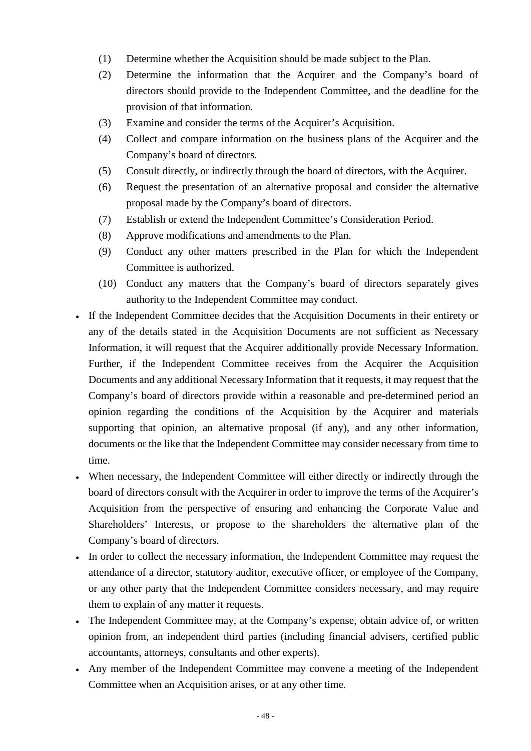- (1) Determine whether the Acquisition should be made subject to the Plan.
- (2) Determine the information that the Acquirer and the Company's board of directors should provide to the Independent Committee, and the deadline for the provision of that information.
- (3) Examine and consider the terms of the Acquirer's Acquisition.
- (4) Collect and compare information on the business plans of the Acquirer and the Company's board of directors.
- (5) Consult directly, or indirectly through the board of directors, with the Acquirer.
- (6) Request the presentation of an alternative proposal and consider the alternative proposal made by the Company's board of directors.
- (7) Establish or extend the Independent Committee's Consideration Period.
- (8) Approve modifications and amendments to the Plan.
- (9) Conduct any other matters prescribed in the Plan for which the Independent Committee is authorized.
- (10) Conduct any matters that the Company's board of directors separately gives authority to the Independent Committee may conduct.
- If the Independent Committee decides that the Acquisition Documents in their entirety or any of the details stated in the Acquisition Documents are not sufficient as Necessary Information, it will request that the Acquirer additionally provide Necessary Information. Further, if the Independent Committee receives from the Acquirer the Acquisition Documents and any additional Necessary Information that it requests, it may request that the Company's board of directors provide within a reasonable and pre-determined period an opinion regarding the conditions of the Acquisition by the Acquirer and materials supporting that opinion, an alternative proposal (if any), and any other information, documents or the like that the Independent Committee may consider necessary from time to time.
- When necessary, the Independent Committee will either directly or indirectly through the board of directors consult with the Acquirer in order to improve the terms of the Acquirer's Acquisition from the perspective of ensuring and enhancing the Corporate Value and Shareholders' Interests, or propose to the shareholders the alternative plan of the Company's board of directors.
- In order to collect the necessary information, the Independent Committee may request the attendance of a director, statutory auditor, executive officer, or employee of the Company, or any other party that the Independent Committee considers necessary, and may require them to explain of any matter it requests.
- The Independent Committee may, at the Company's expense, obtain advice of, or written opinion from, an independent third parties (including financial advisers, certified public accountants, attorneys, consultants and other experts).
- Any member of the Independent Committee may convene a meeting of the Independent Committee when an Acquisition arises, or at any other time.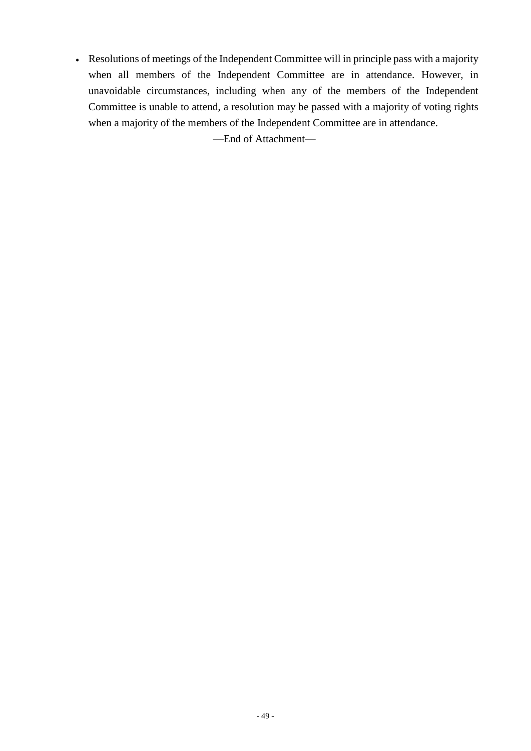• Resolutions of meetings of the Independent Committee will in principle pass with a majority when all members of the Independent Committee are in attendance. However, in unavoidable circumstances, including when any of the members of the Independent Committee is unable to attend, a resolution may be passed with a majority of voting rights when a majority of the members of the Independent Committee are in attendance.

—End of Attachment—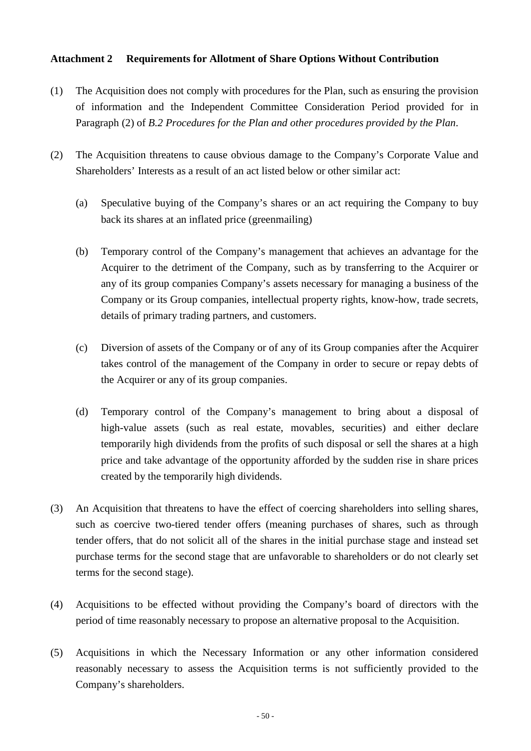## **Attachment 2 Requirements for Allotment of Share Options Without Contribution**

- (1) The Acquisition does not comply with procedures for the Plan, such as ensuring the provision of information and the Independent Committee Consideration Period provided for in Paragraph (2) of *B.2 Procedures for the Plan and other procedures provided by the Plan*.
- (2) The Acquisition threatens to cause obvious damage to the Company's Corporate Value and Shareholders' Interests as a result of an act listed below or other similar act:
	- (a) Speculative buying of the Company's shares or an act requiring the Company to buy back its shares at an inflated price (greenmailing)
	- (b) Temporary control of the Company's management that achieves an advantage for the Acquirer to the detriment of the Company, such as by transferring to the Acquirer or any of its group companies Company's assets necessary for managing a business of the Company or its Group companies, intellectual property rights, know-how, trade secrets, details of primary trading partners, and customers.
	- (c) Diversion of assets of the Company or of any of its Group companies after the Acquirer takes control of the management of the Company in order to secure or repay debts of the Acquirer or any of its group companies.
	- (d) Temporary control of the Company's management to bring about a disposal of high-value assets (such as real estate, movables, securities) and either declare temporarily high dividends from the profits of such disposal or sell the shares at a high price and take advantage of the opportunity afforded by the sudden rise in share prices created by the temporarily high dividends.
- (3) An Acquisition that threatens to have the effect of coercing shareholders into selling shares, such as coercive two-tiered tender offers (meaning purchases of shares, such as through tender offers, that do not solicit all of the shares in the initial purchase stage and instead set purchase terms for the second stage that are unfavorable to shareholders or do not clearly set terms for the second stage).
- (4) Acquisitions to be effected without providing the Company's board of directors with the period of time reasonably necessary to propose an alternative proposal to the Acquisition.
- (5) Acquisitions in which the Necessary Information or any other information considered reasonably necessary to assess the Acquisition terms is not sufficiently provided to the Company's shareholders.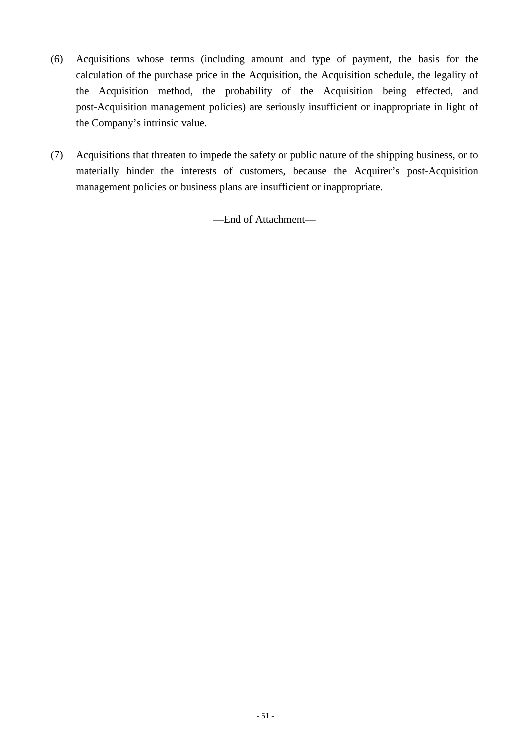- (6) Acquisitions whose terms (including amount and type of payment, the basis for the calculation of the purchase price in the Acquisition, the Acquisition schedule, the legality of the Acquisition method, the probability of the Acquisition being effected, and post-Acquisition management policies) are seriously insufficient or inappropriate in light of the Company's intrinsic value.
- (7) Acquisitions that threaten to impede the safety or public nature of the shipping business, or to materially hinder the interests of customers, because the Acquirer's post-Acquisition management policies or business plans are insufficient or inappropriate.

—End of Attachment—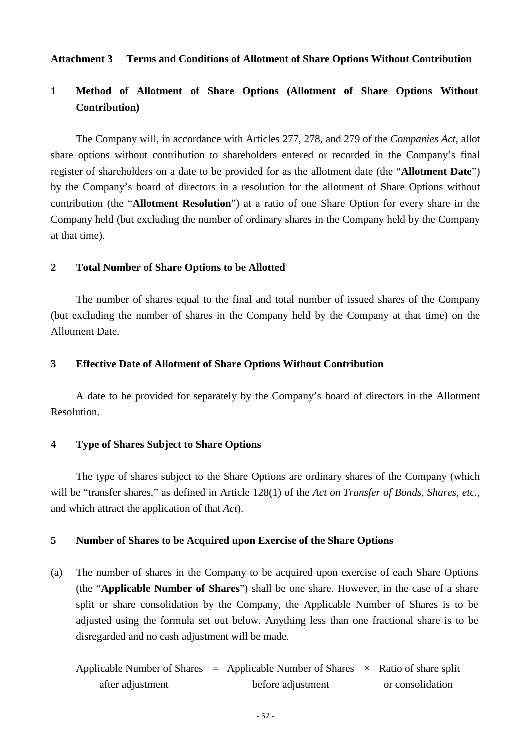### **Attachment 3 Terms and Conditions of Allotment of Share Options Without Contribution**

## **1 Method of Allotment of Share Options (Allotment of Share Options Without Contribution)**

The Company will, in accordance with Articles 277, 278, and 279 of the *Companies Act*, allot share options without contribution to shareholders entered or recorded in the Company's final register of shareholders on a date to be provided for as the allotment date (the "**Allotment Date**") by the Company's board of directors in a resolution for the allotment of Share Options without contribution (the "**Allotment Resolution**") at a ratio of one Share Option for every share in the Company held (but excluding the number of ordinary shares in the Company held by the Company at that time).

### **2 Total Number of Share Options to be Allotted**

The number of shares equal to the final and total number of issued shares of the Company (but excluding the number of shares in the Company held by the Company at that time) on the Allotment Date.

#### **3 Effective Date of Allotment of Share Options Without Contribution**

A date to be provided for separately by the Company's board of directors in the Allotment Resolution.

### **4 Type of Shares Subject to Share Options**

The type of shares subject to the Share Options are ordinary shares of the Company (which will be "transfer shares," as defined in Article 128(1) of the *Act on Transfer of Bonds, Shares, etc.*, and which attract the application of that *Act*).

#### **5 Number of Shares to be Acquired upon Exercise of the Share Options**

- (a) The number of shares in the Company to be acquired upon exercise of each Share Options (the "**Applicable Number of Shares**") shall be one share. However, in the case of a share split or share consolidation by the Company, the Applicable Number of Shares is to be adjusted using the formula set out below. Anything less than one fractional share is to be disregarded and no cash adjustment will be made.
	- Applicable Number of Shares  $=$  Applicable Number of Shares  $\times$  Ratio of share split after adjustment before adjustment or consolidation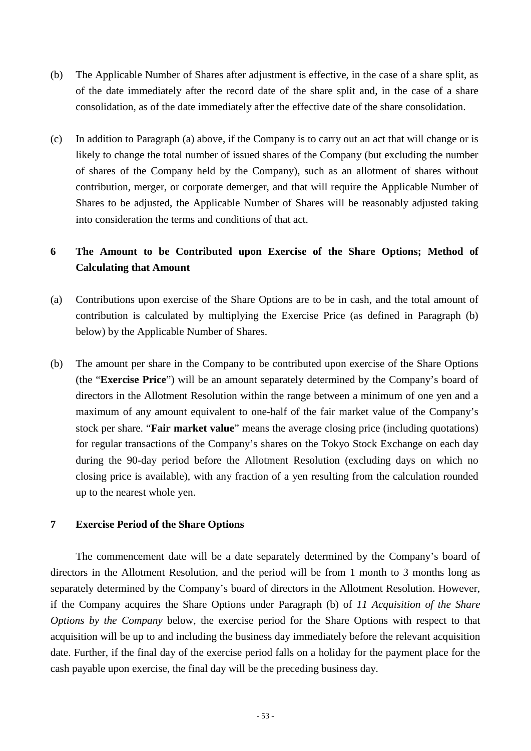- (b) The Applicable Number of Shares after adjustment is effective, in the case of a share split, as of the date immediately after the record date of the share split and, in the case of a share consolidation, as of the date immediately after the effective date of the share consolidation.
- (c) In addition to Paragraph (a) above, if the Company is to carry out an act that will change or is likely to change the total number of issued shares of the Company (but excluding the number of shares of the Company held by the Company), such as an allotment of shares without contribution, merger, or corporate demerger, and that will require the Applicable Number of Shares to be adjusted, the Applicable Number of Shares will be reasonably adjusted taking into consideration the terms and conditions of that act.

## **6 The Amount to be Contributed upon Exercise of the Share Options; Method of Calculating that Amount**

- (a) Contributions upon exercise of the Share Options are to be in cash, and the total amount of contribution is calculated by multiplying the Exercise Price (as defined in Paragraph (b) below) by the Applicable Number of Shares.
- (b) The amount per share in the Company to be contributed upon exercise of the Share Options (the "**Exercise Price**") will be an amount separately determined by the Company's board of directors in the Allotment Resolution within the range between a minimum of one yen and a maximum of any amount equivalent to one-half of the fair market value of the Company's stock per share. "**Fair market value**" means the average closing price (including quotations) for regular transactions of the Company's shares on the Tokyo Stock Exchange on each day during the 90-day period before the Allotment Resolution (excluding days on which no closing price is available), with any fraction of a yen resulting from the calculation rounded up to the nearest whole yen.

### **7 Exercise Period of the Share Options**

The commencement date will be a date separately determined by the Company's board of directors in the Allotment Resolution, and the period will be from 1 month to 3 months long as separately determined by the Company's board of directors in the Allotment Resolution. However, if the Company acquires the Share Options under Paragraph (b) of *11 Acquisition of the Share Options by the Company* below, the exercise period for the Share Options with respect to that acquisition will be up to and including the business day immediately before the relevant acquisition date. Further, if the final day of the exercise period falls on a holiday for the payment place for the cash payable upon exercise, the final day will be the preceding business day.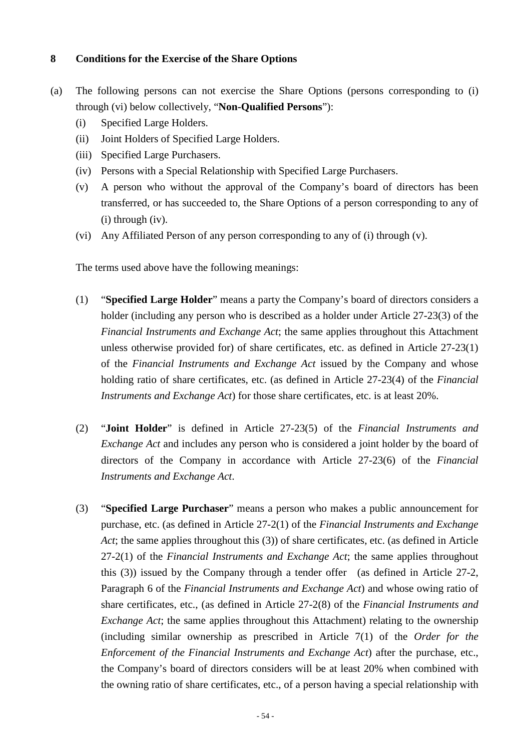## **8 Conditions for the Exercise of the Share Options**

- (a) The following persons can not exercise the Share Options (persons corresponding to (i) through (vi) below collectively, "**Non-Qualified Persons**"):
	- (i) Specified Large Holders.
	- (ii) Joint Holders of Specified Large Holders.
	- (iii) Specified Large Purchasers.
	- (iv) Persons with a Special Relationship with Specified Large Purchasers.
	- (v) A person who without the approval of the Company's board of directors has been transferred, or has succeeded to, the Share Options of a person corresponding to any of (i) through (iv).
	- (vi) Any Affiliated Person of any person corresponding to any of (i) through (v).

The terms used above have the following meanings:

- (1) "**Specified Large Holder**" means a party the Company's board of directors considers a holder (including any person who is described as a holder under Article 27-23(3) of the *Financial Instruments and Exchange Act*; the same applies throughout this Attachment unless otherwise provided for) of share certificates, etc. as defined in Article 27-23(1) of the *Financial Instruments and Exchange Act* issued by the Company and whose holding ratio of share certificates, etc. (as defined in Article 27-23(4) of the *Financial Instruments and Exchange Act*) for those share certificates, etc. is at least 20%.
- (2) "**Joint Holder**" is defined in Article 27-23(5) of the *Financial Instruments and Exchange Act* and includes any person who is considered a joint holder by the board of directors of the Company in accordance with Article 27-23(6) of the *Financial Instruments and Exchange Act*.
- (3) "**Specified Large Purchaser**" means a person who makes a public announcement for purchase, etc. (as defined in Article 27-2(1) of the *Financial Instruments and Exchange Act*; the same applies throughout this (3)) of share certificates, etc. (as defined in Article 27-2(1) of the *Financial Instruments and Exchange Act*; the same applies throughout this (3)) issued by the Company through a tender offer (as defined in Article 27-2, Paragraph 6 of the *Financial Instruments and Exchange Act*) and whose owing ratio of share certificates, etc., (as defined in Article 27-2(8) of the *Financial Instruments and Exchange Act*; the same applies throughout this Attachment) relating to the ownership (including similar ownership as prescribed in Article 7(1) of the *Order for the Enforcement of the Financial Instruments and Exchange Act*) after the purchase, etc., the Company's board of directors considers will be at least 20% when combined with the owning ratio of share certificates, etc., of a person having a special relationship with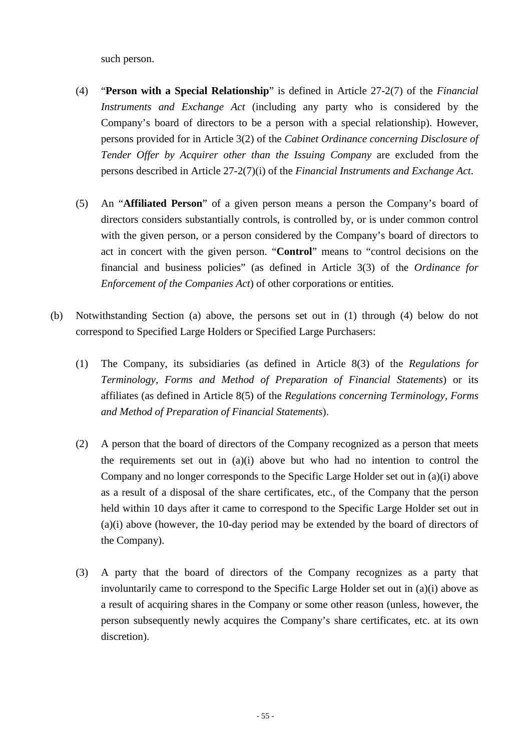such person.

- (4) "**Person with a Special Relationship**" is defined in Article 27-2(7) of the *Financial Instruments and Exchange Act* (including any party who is considered by the Company's board of directors to be a person with a special relationship). However, persons provided for in Article 3(2) of the *Cabinet Ordinance concerning Disclosure of Tender Offer by Acquirer other than the Issuing Company* are excluded from the persons described in Article 27-2(7)(i) of the *Financial Instruments and Exchange Act*.
- (5) An "**Affiliated Person**" of a given person means a person the Company's board of directors considers substantially controls, is controlled by, or is under common control with the given person, or a person considered by the Company's board of directors to act in concert with the given person. "**Control**" means to "control decisions on the financial and business policies" (as defined in Article 3(3) of the *Ordinance for Enforcement of the Companies Act*) of other corporations or entities.
- (b) Notwithstanding Section (a) above, the persons set out in (1) through (4) below do not correspond to Specified Large Holders or Specified Large Purchasers:
	- (1) The Company, its subsidiaries (as defined in Article 8(3) of the *Regulations for Terminology, Forms and Method of Preparation of Financial Statements*) or its affiliates (as defined in Article 8(5) of the *Regulations concerning Terminology, Forms and Method of Preparation of Financial Statements*).
	- (2) A person that the board of directors of the Company recognized as a person that meets the requirements set out in (a)(i) above but who had no intention to control the Company and no longer corresponds to the Specific Large Holder set out in (a)(i) above as a result of a disposal of the share certificates, etc., of the Company that the person held within 10 days after it came to correspond to the Specific Large Holder set out in (a)(i) above (however, the 10-day period may be extended by the board of directors of the Company).
	- (3) A party that the board of directors of the Company recognizes as a party that involuntarily came to correspond to the Specific Large Holder set out in (a)(i) above as a result of acquiring shares in the Company or some other reason (unless, however, the person subsequently newly acquires the Company's share certificates, etc. at its own discretion).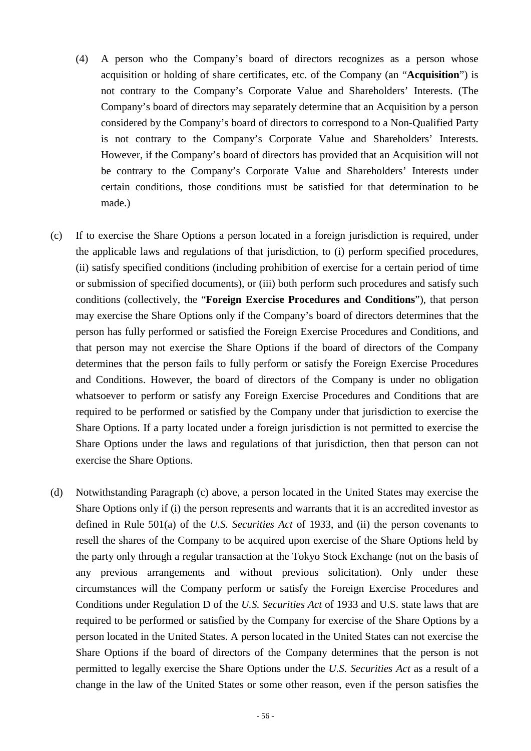- (4) A person who the Company's board of directors recognizes as a person whose acquisition or holding of share certificates, etc. of the Company (an "**Acquisition**") is not contrary to the Company's Corporate Value and Shareholders' Interests. (The Company's board of directors may separately determine that an Acquisition by a person considered by the Company's board of directors to correspond to a Non-Qualified Party is not contrary to the Company's Corporate Value and Shareholders' Interests. However, if the Company's board of directors has provided that an Acquisition will not be contrary to the Company's Corporate Value and Shareholders' Interests under certain conditions, those conditions must be satisfied for that determination to be made.)
- (c) If to exercise the Share Options a person located in a foreign jurisdiction is required, under the applicable laws and regulations of that jurisdiction, to (i) perform specified procedures, (ii) satisfy specified conditions (including prohibition of exercise for a certain period of time or submission of specified documents), or (iii) both perform such procedures and satisfy such conditions (collectively, the "**Foreign Exercise Procedures and Conditions**"), that person may exercise the Share Options only if the Company's board of directors determines that the person has fully performed or satisfied the Foreign Exercise Procedures and Conditions, and that person may not exercise the Share Options if the board of directors of the Company determines that the person fails to fully perform or satisfy the Foreign Exercise Procedures and Conditions. However, the board of directors of the Company is under no obligation whatsoever to perform or satisfy any Foreign Exercise Procedures and Conditions that are required to be performed or satisfied by the Company under that jurisdiction to exercise the Share Options. If a party located under a foreign jurisdiction is not permitted to exercise the Share Options under the laws and regulations of that jurisdiction, then that person can not exercise the Share Options.
- (d) Notwithstanding Paragraph (c) above, a person located in the United States may exercise the Share Options only if (i) the person represents and warrants that it is an accredited investor as defined in Rule 501(a) of the *U.S. Securities Act* of 1933, and (ii) the person covenants to resell the shares of the Company to be acquired upon exercise of the Share Options held by the party only through a regular transaction at the Tokyo Stock Exchange (not on the basis of any previous arrangements and without previous solicitation). Only under these circumstances will the Company perform or satisfy the Foreign Exercise Procedures and Conditions under Regulation D of the *U.S. Securities Act* of 1933 and U.S. state laws that are required to be performed or satisfied by the Company for exercise of the Share Options by a person located in the United States. A person located in the United States can not exercise the Share Options if the board of directors of the Company determines that the person is not permitted to legally exercise the Share Options under the *U.S. Securities Act* as a result of a change in the law of the United States or some other reason, even if the person satisfies the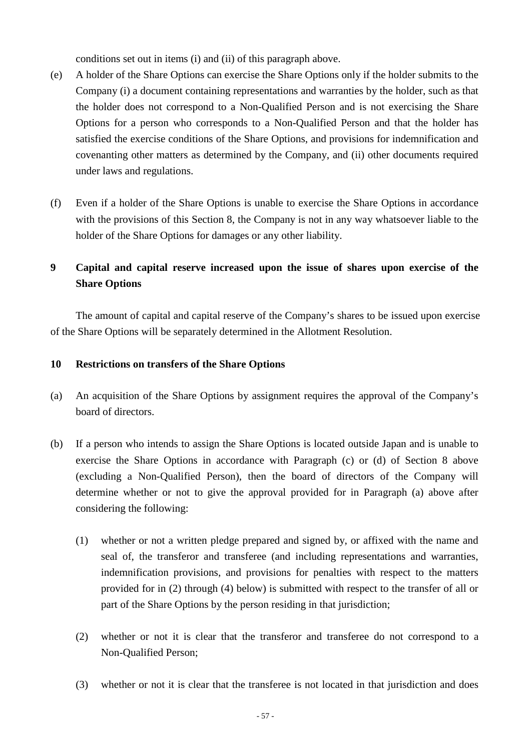conditions set out in items (i) and (ii) of this paragraph above.

- (e) A holder of the Share Options can exercise the Share Options only if the holder submits to the Company (i) a document containing representations and warranties by the holder, such as that the holder does not correspond to a Non-Qualified Person and is not exercising the Share Options for a person who corresponds to a Non-Qualified Person and that the holder has satisfied the exercise conditions of the Share Options, and provisions for indemnification and covenanting other matters as determined by the Company, and (ii) other documents required under laws and regulations.
- (f) Even if a holder of the Share Options is unable to exercise the Share Options in accordance with the provisions of this Section 8, the Company is not in any way whatsoever liable to the holder of the Share Options for damages or any other liability.

## **9 Capital and capital reserve increased upon the issue of shares upon exercise of the Share Options**

The amount of capital and capital reserve of the Company's shares to be issued upon exercise of the Share Options will be separately determined in the Allotment Resolution.

## **10 Restrictions on transfers of the Share Options**

- (a) An acquisition of the Share Options by assignment requires the approval of the Company's board of directors.
- (b) If a person who intends to assign the Share Options is located outside Japan and is unable to exercise the Share Options in accordance with Paragraph (c) or (d) of Section 8 above (excluding a Non-Qualified Person), then the board of directors of the Company will determine whether or not to give the approval provided for in Paragraph (a) above after considering the following:
	- (1) whether or not a written pledge prepared and signed by, or affixed with the name and seal of, the transferor and transferee (and including representations and warranties, indemnification provisions, and provisions for penalties with respect to the matters provided for in (2) through (4) below) is submitted with respect to the transfer of all or part of the Share Options by the person residing in that jurisdiction;
	- (2) whether or not it is clear that the transferor and transferee do not correspond to a Non-Qualified Person;
	- (3) whether or not it is clear that the transferee is not located in that jurisdiction and does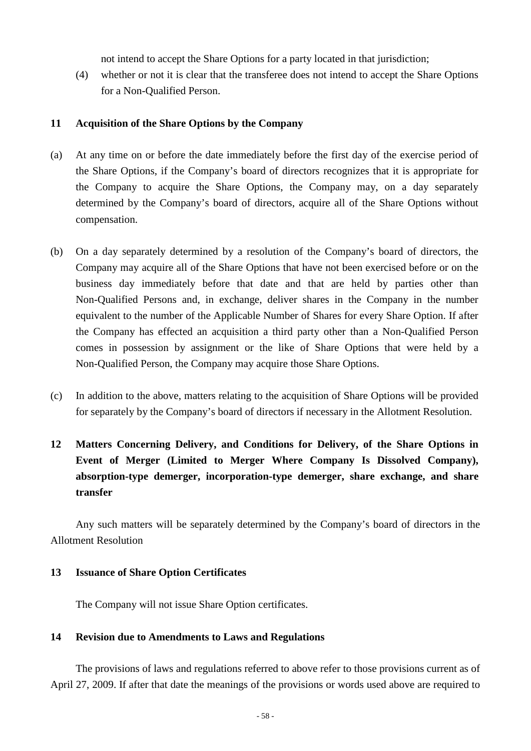not intend to accept the Share Options for a party located in that jurisdiction;

(4) whether or not it is clear that the transferee does not intend to accept the Share Options for a Non-Qualified Person.

### **11 Acquisition of the Share Options by the Company**

- (a) At any time on or before the date immediately before the first day of the exercise period of the Share Options, if the Company's board of directors recognizes that it is appropriate for the Company to acquire the Share Options, the Company may, on a day separately determined by the Company's board of directors, acquire all of the Share Options without compensation.
- (b) On a day separately determined by a resolution of the Company's board of directors, the Company may acquire all of the Share Options that have not been exercised before or on the business day immediately before that date and that are held by parties other than Non-Qualified Persons and, in exchange, deliver shares in the Company in the number equivalent to the number of the Applicable Number of Shares for every Share Option. If after the Company has effected an acquisition a third party other than a Non-Qualified Person comes in possession by assignment or the like of Share Options that were held by a Non-Qualified Person, the Company may acquire those Share Options.
- (c) In addition to the above, matters relating to the acquisition of Share Options will be provided for separately by the Company's board of directors if necessary in the Allotment Resolution.

# **12 Matters Concerning Delivery, and Conditions for Delivery, of the Share Options in Event of Merger (Limited to Merger Where Company Is Dissolved Company), absorption-type demerger, incorporation-type demerger, share exchange, and share transfer**

Any such matters will be separately determined by the Company's board of directors in the Allotment Resolution

#### **13 Issuance of Share Option Certificates**

The Company will not issue Share Option certificates.

#### **14 Revision due to Amendments to Laws and Regulations**

The provisions of laws and regulations referred to above refer to those provisions current as of April 27, 2009. If after that date the meanings of the provisions or words used above are required to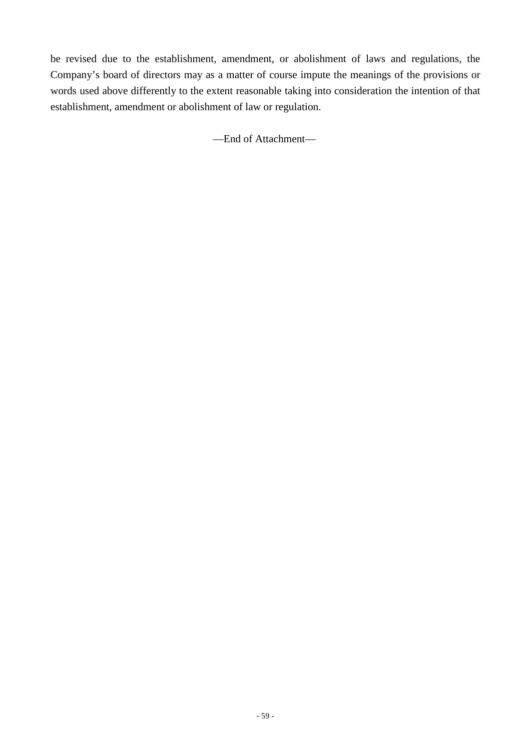be revised due to the establishment, amendment, or abolishment of laws and regulations, the Company's board of directors may as a matter of course impute the meanings of the provisions or words used above differently to the extent reasonable taking into consideration the intention of that establishment, amendment or abolishment of law or regulation.

—End of Attachment—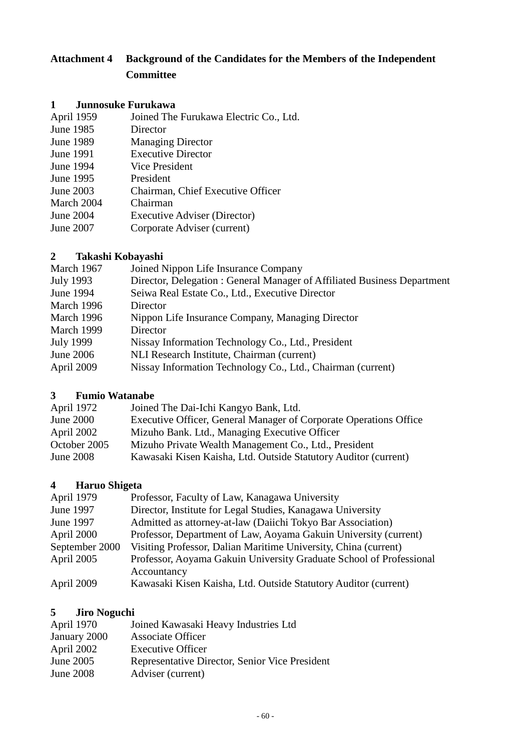# **Attachment 4 Background of the Candidates for the Members of the Independent Committee**

## **1 Junnosuke Furukawa**

| Joined The Furukawa Electric Co., Ltd. |
|----------------------------------------|
| Director                               |
| <b>Managing Director</b>               |
| <b>Executive Director</b>              |
| <b>Vice President</b>                  |
| President                              |
| Chairman, Chief Executive Officer      |
| Chairman                               |
| <b>Executive Adviser (Director)</b>    |
| Corporate Adviser (current)            |
|                                        |

## **2 Takashi Kobayashi**

| March 1967       | Joined Nippon Life Insurance Company                                    |
|------------------|-------------------------------------------------------------------------|
| July 1993        | Director, Delegation: General Manager of Affiliated Business Department |
| June 1994        | Seiwa Real Estate Co., Ltd., Executive Director                         |
| March 1996       | Director                                                                |
| March 1996       | Nippon Life Insurance Company, Managing Director                        |
| March 1999       | Director                                                                |
| <b>July 1999</b> | Nissay Information Technology Co., Ltd., President                      |
| June 2006        | NLI Research Institute, Chairman (current)                              |
| April 2009       | Nissay Information Technology Co., Ltd., Chairman (current)             |

## **3 Fumio Watanabe**

| April 1972   | Joined The Dai-Ichi Kangyo Bank, Ltd.                             |
|--------------|-------------------------------------------------------------------|
| June $2000$  | Executive Officer, General Manager of Corporate Operations Office |
| April 2002   | Mizuho Bank. Ltd., Managing Executive Officer                     |
| October 2005 | Mizuho Private Wealth Management Co., Ltd., President             |
| June 2008    | Kawasaki Kisen Kaisha, Ltd. Outside Statutory Auditor (current)   |

# **4 Haruo Shigeta**

| April 1979     | Professor, Faculty of Law, Kanagawa University                      |
|----------------|---------------------------------------------------------------------|
| June 1997      | Director, Institute for Legal Studies, Kanagawa University          |
| June 1997      | Admitted as attorney-at-law (Daiichi Tokyo Bar Association)         |
| April 2000     | Professor, Department of Law, Aoyama Gakuin University (current)    |
| September 2000 | Visiting Professor, Dalian Maritime University, China (current)     |
| April 2005     | Professor, Aoyama Gakuin University Graduate School of Professional |
|                | Accountancy                                                         |
| April 2009     | Kawasaki Kisen Kaisha, Ltd. Outside Statutory Auditor (current)     |

# **5 Jiro Noguchi**

| Joined Kawasaki Heavy Industries Ltd           |
|------------------------------------------------|
| <b>Associate Officer</b>                       |
| <b>Executive Officer</b>                       |
| Representative Director, Senior Vice President |
| Adviser (current)                              |
|                                                |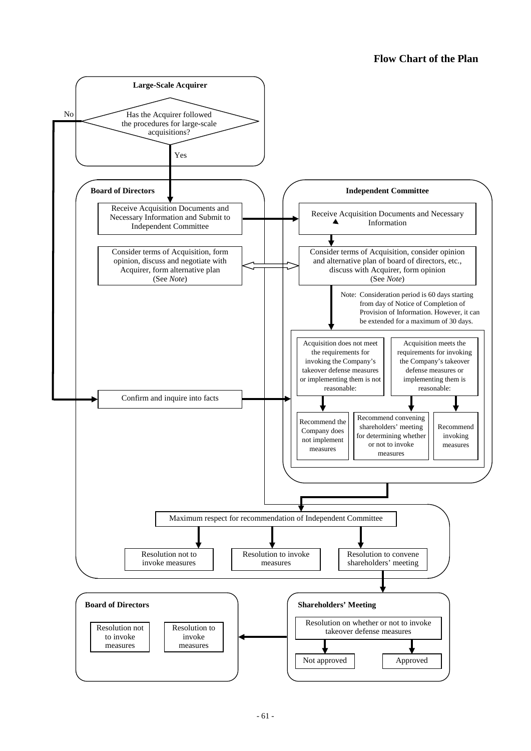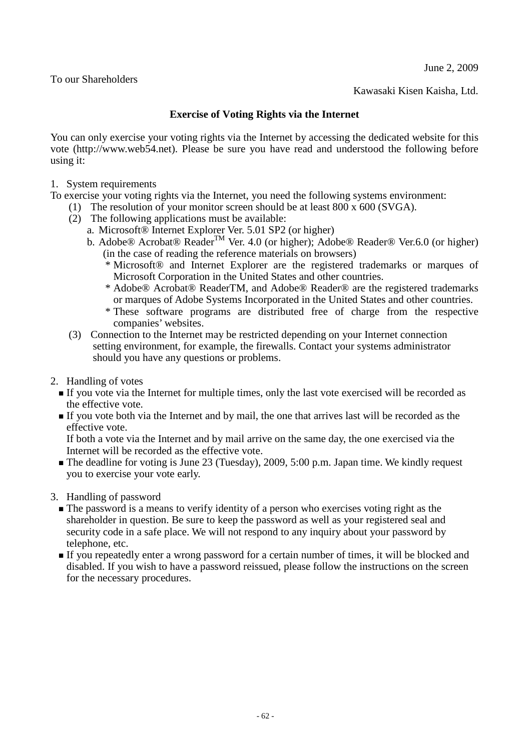June 2, 2009

To our Shareholders

Kawasaki Kisen Kaisha, Ltd.

## **Exercise of Voting Rights via the Internet**

You can only exercise your voting rights via the Internet by accessing the dedicated website for this vote (http://www.web54.net). Please be sure you have read and understood the following before using it:

1. System requirements

To exercise your voting rights via the Internet, you need the following systems environment:

- (1) The resolution of your monitor screen should be at least 800 x 600 (SVGA).
- (2) The following applications must be available:
	- a. Microsoft® Internet Explorer Ver. 5.01 SP2 (or higher)
	- b. Adobe® Acrobat® Reader<sup>™</sup> Ver. 4.0 (or higher); Adobe® Reader® Ver.6.0 (or higher) (in the case of reading the reference materials on browsers)
		- \* Microsoft® and Internet Explorer are the registered trademarks or marques of Microsoft Corporation in the United States and other countries.
		- \* Adobe® Acrobat® ReaderTM, and Adobe® Reader® are the registered trademarks or marques of Adobe Systems Incorporated in the United States and other countries.
		- \* These software programs are distributed free of charge from the respective companies' websites.
- (3) Connection to the Internet may be restricted depending on your Internet connection setting environment, for example, the firewalls. Contact your systems administrator should you have any questions or problems.
- 2. Handling of votes
	- If you vote via the Internet for multiple times, only the last vote exercised will be recorded as the effective vote.
	- If you vote both via the Internet and by mail, the one that arrives last will be recorded as the effective vote.

If both a vote via the Internet and by mail arrive on the same day, the one exercised via the Internet will be recorded as the effective vote.

- The deadline for voting is June 23 (Tuesday), 2009, 5:00 p.m. Japan time. We kindly request you to exercise your vote early.
- 3. Handling of password
	- The password is a means to verify identity of a person who exercises voting right as the shareholder in question. Be sure to keep the password as well as your registered seal and security code in a safe place. We will not respond to any inquiry about your password by telephone, etc.
	- If you repeatedly enter a wrong password for a certain number of times, it will be blocked and disabled. If you wish to have a password reissued, please follow the instructions on the screen for the necessary procedures.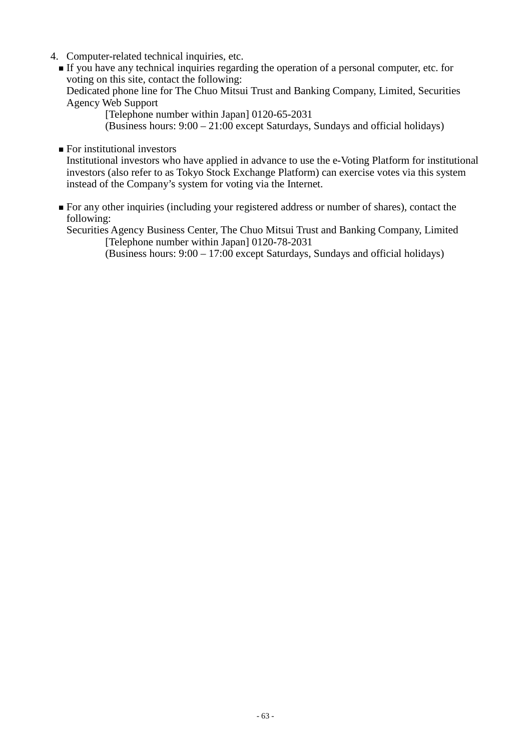- 4. Computer-related technical inquiries, etc.
	- If you have any technical inquiries regarding the operation of a personal computer, etc. for voting on this site, contact the following:

Dedicated phone line for The Chuo Mitsui Trust and Banking Company, Limited, Securities Agency Web Support

[Telephone number within Japan] 0120-65-2031

(Business hours: 9:00 – 21:00 except Saturdays, Sundays and official holidays)

**For institutional investors** 

Institutional investors who have applied in advance to use the e-Voting Platform for institutional investors (also refer to as Tokyo Stock Exchange Platform) can exercise votes via this system instead of the Company's system for voting via the Internet.

For any other inquiries (including your registered address or number of shares), contact the following:

Securities Agency Business Center, The Chuo Mitsui Trust and Banking Company, Limited [Telephone number within Japan] 0120-78-2031

(Business hours: 9:00 – 17:00 except Saturdays, Sundays and official holidays)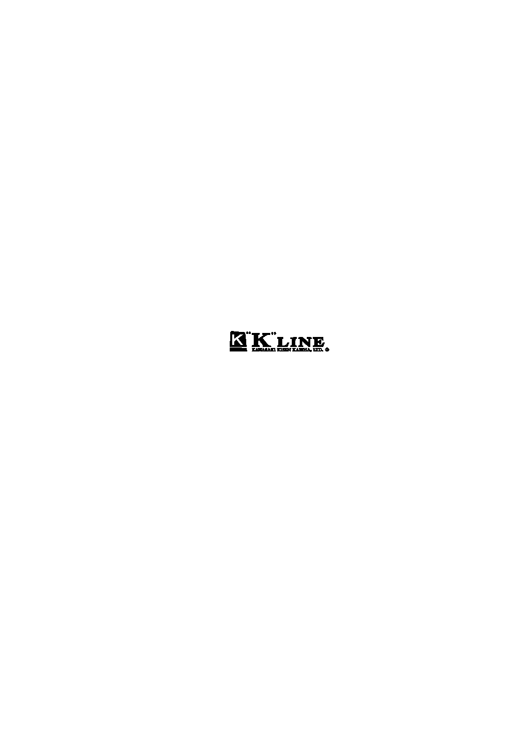